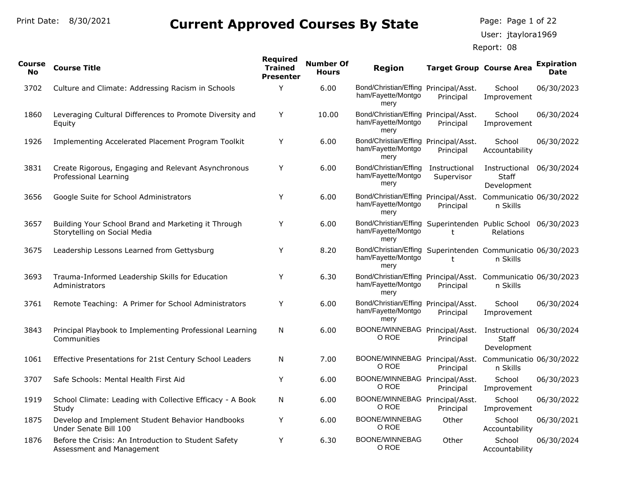User: jtaylora1969 Page: Page 1 of 22

| Course<br>No. | <b>Course Title</b>                                                                 | <b>Required</b><br><b>Trained</b><br><b>Presenter</b> | <b>Number Of</b><br><b>Hours</b> | <b>Region</b>                                                                               | <b>Target Group Course Area</b> |                                                         | <b>Expiration</b><br><b>Date</b> |
|---------------|-------------------------------------------------------------------------------------|-------------------------------------------------------|----------------------------------|---------------------------------------------------------------------------------------------|---------------------------------|---------------------------------------------------------|----------------------------------|
| 3702          | Culture and Climate: Addressing Racism in Schools                                   | Y                                                     | 6.00                             | Bond/Christian/Effing Principal/Asst.<br>ham/Fayette/Montgo<br>mery                         | Principal                       | School<br>Improvement                                   | 06/30/2023                       |
| 1860          | Leveraging Cultural Differences to Promote Diversity and<br>Equity                  | Y                                                     | 10.00                            | Bond/Christian/Effing Principal/Asst.<br>ham/Fayette/Montgo<br>mery                         | Principal                       | School<br>Improvement                                   | 06/30/2024                       |
| 1926          | Implementing Accelerated Placement Program Toolkit                                  | Y                                                     | 6.00                             | Bond/Christian/Effing Principal/Asst.<br>ham/Fayette/Montgo<br>mery                         | Principal                       | School<br>Accountability                                | 06/30/2022                       |
| 3831          | Create Rigorous, Engaging and Relevant Asynchronous<br>Professional Learning        | Y                                                     | 6.00                             | Bond/Christian/Effing<br>ham/Fayette/Montgo<br>mery                                         | Instructional<br>Supervisor     | Instructional 06/30/2024<br><b>Staff</b><br>Development |                                  |
| 3656          | Google Suite for School Administrators                                              | Υ                                                     | 6.00                             | Bond/Christian/Effing Principal/Asst.<br>ham/Fayette/Montgo<br>mery                         | Principal                       | Communicatio 06/30/2022<br>n Skills                     |                                  |
| 3657          | Building Your School Brand and Marketing it Through<br>Storytelling on Social Media | Y                                                     | 6.00                             | Bond/Christian/Effing Superintenden Public School 06/30/2023<br>ham/Fayette/Montgo<br>mery  | t                               | <b>Relations</b>                                        |                                  |
| 3675          | Leadership Lessons Learned from Gettysburg                                          | Y                                                     | 8.20                             | Bond/Christian/Effing Superintenden Communicatio 06/30/2023<br>ham/Fayette/Montgo<br>mery   | t                               | n Skills                                                |                                  |
| 3693          | Trauma-Informed Leadership Skills for Education<br>Administrators                   | Y                                                     | 6.30                             | Bond/Christian/Effing Principal/Asst. Communicatio 06/30/2023<br>ham/Fayette/Montgo<br>mery | Principal                       | n Skills                                                |                                  |
| 3761          | Remote Teaching: A Primer for School Administrators                                 | Y                                                     | 6.00                             | Bond/Christian/Effing Principal/Asst.<br>ham/Fayette/Montgo<br>mery                         | Principal                       | School<br>Improvement                                   | 06/30/2024                       |
| 3843          | Principal Playbook to Implementing Professional Learning<br>Communities             | N                                                     | 6.00                             | BOONE/WINNEBAG Principal/Asst.<br>O ROE                                                     | Principal                       | Instructional 06/30/2024<br>Staff<br>Development        |                                  |
| 1061          | Effective Presentations for 21st Century School Leaders                             | N                                                     | 7.00                             | BOONE/WINNEBAG Principal/Asst.<br>O ROE                                                     | Principal                       | Communicatio 06/30/2022<br>n Skills                     |                                  |
| 3707          | Safe Schools: Mental Health First Aid                                               | Y                                                     | 6.00                             | BOONE/WINNEBAG Principal/Asst.<br>O ROE                                                     | Principal                       | School<br>Improvement                                   | 06/30/2023                       |
| 1919          | School Climate: Leading with Collective Efficacy - A Book<br>Studv                  | Ν                                                     | 6.00                             | BOONE/WINNEBAG Principal/Asst.<br>O ROE                                                     | Principal                       | School<br>Improvement                                   | 06/30/2022                       |
| 1875          | Develop and Implement Student Behavior Handbooks<br>Under Senate Bill 100           | Y                                                     | 6.00                             | <b>BOONE/WINNEBAG</b><br>O ROE                                                              | Other                           | School<br>Accountability                                | 06/30/2021                       |
| 1876          | Before the Crisis: An Introduction to Student Safety<br>Assessment and Management   | Y                                                     | 6.30                             | BOONE/WINNEBAG<br>O ROE                                                                     | Other                           | School<br>Accountability                                | 06/30/2024                       |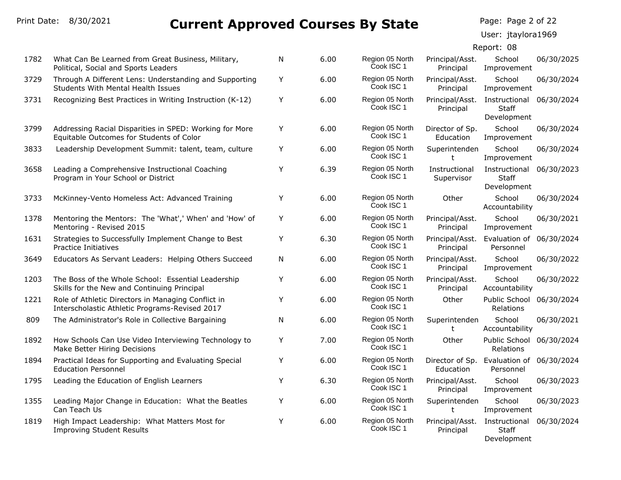Page: Page 2 of 22

User: jtaylora1969

| 1782 | What Can Be Learned from Great Business, Military,<br>Political, Social and Sports Leaders           | N | 6.00 | Region 05 North<br>Cook ISC 1 | Principal/Asst.<br>Principal | School<br>Improvement                 | 06/30/2025 |
|------|------------------------------------------------------------------------------------------------------|---|------|-------------------------------|------------------------------|---------------------------------------|------------|
| 3729 | Through A Different Lens: Understanding and Supporting<br>Students With Mental Health Issues         | Y | 6.00 | Region 05 North<br>Cook ISC 1 | Principal/Asst.<br>Principal | School<br>Improvement                 | 06/30/2024 |
| 3731 | Recognizing Best Practices in Writing Instruction (K-12)                                             | Y | 6.00 | Region 05 North<br>Cook ISC 1 | Principal/Asst.<br>Principal | Instructional<br>Staff<br>Development | 06/30/2024 |
| 3799 | Addressing Racial Disparities in SPED: Working for More<br>Equitable Outcomes for Students of Color  | Y | 6.00 | Region 05 North<br>Cook ISC 1 | Director of Sp.<br>Education | School<br>Improvement                 | 06/30/2024 |
| 3833 | Leadership Development Summit: talent, team, culture                                                 | Y | 6.00 | Region 05 North<br>Cook ISC 1 | Superintenden<br>t           | School<br>Improvement                 | 06/30/2024 |
| 3658 | Leading a Comprehensive Instructional Coaching<br>Program in Your School or District                 | Υ | 6.39 | Region 05 North<br>Cook ISC 1 | Instructional<br>Supervisor  | Instructional<br>Staff<br>Development | 06/30/2023 |
| 3733 | McKinney-Vento Homeless Act: Advanced Training                                                       | Y | 6.00 | Region 05 North<br>Cook ISC 1 | Other                        | School<br>Accountability              | 06/30/2024 |
| 1378 | Mentoring the Mentors: The 'What',' When' and 'How' of<br>Mentoring - Revised 2015                   | Y | 6.00 | Region 05 North<br>Cook ISC 1 | Principal/Asst.<br>Principal | School<br>Improvement                 | 06/30/2021 |
| 1631 | Strategies to Successfully Implement Change to Best<br>Practice Initiatives                          | Y | 6.30 | Region 05 North<br>Cook ISC 1 | Principal/Asst.<br>Principal | Evaluation of<br>Personnel            | 06/30/2024 |
| 3649 | Educators As Servant Leaders: Helping Others Succeed                                                 | N | 6.00 | Region 05 North<br>Cook ISC 1 | Principal/Asst.<br>Principal | School<br>Improvement                 | 06/30/2022 |
| 1203 | The Boss of the Whole School: Essential Leadership<br>Skills for the New and Continuing Principal    | Y | 6.00 | Region 05 North<br>Cook ISC 1 | Principal/Asst.<br>Principal | School<br>Accountability              | 06/30/2022 |
| 1221 | Role of Athletic Directors in Managing Conflict in<br>Interscholastic Athletic Programs-Revised 2017 | Y | 6.00 | Region 05 North<br>Cook ISC 1 | Other                        | Public School<br>Relations            | 06/30/2024 |
| 809  | The Administrator's Role in Collective Bargaining                                                    | N | 6.00 | Region 05 North<br>Cook ISC 1 | Superintenden<br>t.          | School<br>Accountability              | 06/30/2021 |
| 1892 | How Schools Can Use Video Interviewing Technology to<br>Make Better Hiring Decisions                 | Y | 7.00 | Region 05 North<br>Cook ISC 1 | Other                        | Public School<br>Relations            | 06/30/2024 |
| 1894 | Practical Ideas for Supporting and Evaluating Special<br><b>Education Personnel</b>                  | Y | 6.00 | Region 05 North<br>Cook ISC 1 | Director of Sp.<br>Education | Evaluation of 06/30/2024<br>Personnel |            |
| 1795 | Leading the Education of English Learners                                                            | Y | 6.30 | Region 05 North<br>Cook ISC 1 | Principal/Asst.<br>Principal | School<br>Improvement                 | 06/30/2023 |
| 1355 | Leading Major Change in Education: What the Beatles<br>Can Teach Us                                  | Y | 6.00 | Region 05 North<br>Cook ISC 1 | Superintenden<br>t           | School<br>Improvement                 | 06/30/2023 |
| 1819 | High Impact Leadership: What Matters Most for<br><b>Improving Student Results</b>                    | Y | 6.00 | Region 05 North<br>Cook ISC 1 | Principal/Asst.<br>Principal | Instructional<br>Staff<br>Development | 06/30/2024 |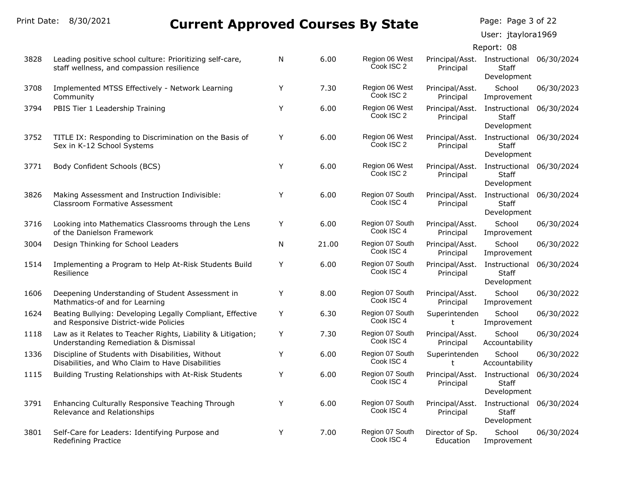Page: Page 3 of 22

User: jtaylora1969

| 3828 | Leading positive school culture: Prioritizing self-care,<br>staff wellness, and compassion resilience | N | 6.00  | Region 06 West<br>Cook ISC 2  | Principal/Asst. Instructional 06/30/2024<br>Principal | Staff<br>Development                             |            |
|------|-------------------------------------------------------------------------------------------------------|---|-------|-------------------------------|-------------------------------------------------------|--------------------------------------------------|------------|
| 3708 | Implemented MTSS Effectively - Network Learning<br>Community                                          | Y | 7.30  | Region 06 West<br>Cook ISC 2  | Principal/Asst.<br>Principal                          | School<br>Improvement                            | 06/30/2023 |
| 3794 | PBIS Tier 1 Leadership Training                                                                       | Y | 6.00  | Region 06 West<br>Čook ISC 2  | Principal/Asst.<br>Principal                          | Instructional<br><b>Staff</b><br>Development     | 06/30/2024 |
| 3752 | TITLE IX: Responding to Discrimination on the Basis of<br>Sex in K-12 School Systems                  | Y | 6.00  | Region 06 West<br>Čook ISC 2  | Principal/Asst.<br>Principal                          | Instructional<br>Staff<br>Development            | 06/30/2024 |
| 3771 | Body Confident Schools (BCS)                                                                          | Y | 6.00  | Region 06 West<br>Cook ISC 2  | Principal/Asst.<br>Principal                          | Instructional 06/30/2024<br>Staff<br>Development |            |
| 3826 | Making Assessment and Instruction Indivisible:<br><b>Classroom Formative Assessment</b>               | Y | 6.00  | Region 07 South<br>Cook ISC 4 | Principal/Asst.<br>Principal                          | Instructional 06/30/2024<br>Staff<br>Development |            |
| 3716 | Looking into Mathematics Classrooms through the Lens<br>of the Danielson Framework                    | Y | 6.00  | Region 07 South<br>Cook ISC 4 | Principal/Asst.<br>Principal                          | School<br>Improvement                            | 06/30/2024 |
| 3004 | Design Thinking for School Leaders                                                                    | N | 21.00 | Region 07 South<br>Cook ISC 4 | Principal/Asst.<br>Principal                          | School<br>Improvement                            | 06/30/2022 |
| 1514 | Implementing a Program to Help At-Risk Students Build<br>Resilience                                   | Y | 6.00  | Region 07 South<br>Cook ISC 4 | Principal/Asst.<br>Principal                          | Instructional<br>Staff<br>Development            | 06/30/2024 |
| 1606 | Deepening Understanding of Student Assessment in<br>Mathmatics-of and for Learning                    | Y | 8.00  | Region 07 South<br>Cook ISC 4 | Principal/Asst.<br>Principal                          | School<br>Improvement                            | 06/30/2022 |
| 1624 | Beating Bullying: Developing Legally Compliant, Effective<br>and Responsive District-wide Policies    | Y | 6.30  | Region 07 South<br>Cook ISC 4 | Superintenden<br>t                                    | School<br>Improvement                            | 06/30/2022 |
| 1118 | Law as it Relates to Teacher Rights, Liability & Litigation;<br>Understanding Remediation & Dismissal | Y | 7.30  | Region 07 South<br>Cook ISC 4 | Principal/Asst.<br>Principal                          | School<br>Accountability                         | 06/30/2024 |
| 1336 | Discipline of Students with Disabilities, Without<br>Disabilities, and Who Claim to Have Disabilities | Y | 6.00  | Region 07 South<br>Cook ISC 4 | Superintenden                                         | School<br>Accountability                         | 06/30/2022 |
| 1115 | Building Trusting Relationships with At-Risk Students                                                 | Y | 6.00  | Region 07 South<br>Cook ISC 4 | Principal/Asst.<br>Principal                          | Instructional<br>Staff<br>Development            | 06/30/2024 |
| 3791 | Enhancing Culturally Responsive Teaching Through<br>Relevance and Relationships                       | Y | 6.00  | Region 07 South<br>Cook ISC 4 | Principal/Asst.<br>Principal                          | Instructional<br>Staff<br>Development            | 06/30/2024 |
| 3801 | Self-Care for Leaders: Identifying Purpose and<br>Redefining Practice                                 | Y | 7.00  | Region 07 South<br>Cook ISC 4 | Director of Sp.<br>Education                          | School<br>Improvement                            | 06/30/2024 |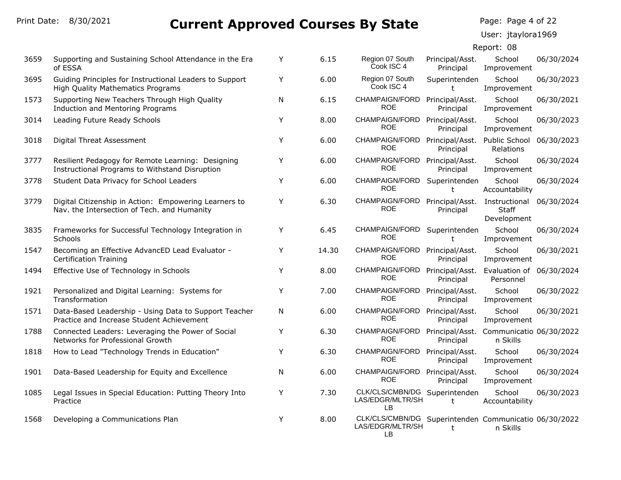|  | Page: Page 4 of 22 |  |  |
|--|--------------------|--|--|
|--|--------------------|--|--|

User: jtaylora1969

| 3659 | Supporting and Sustaining School Attendance in the Era<br>of ESSA                                    | Υ | 6.15  | Region 07 South<br>Cook ISC 4                                                   | Principal/Asst.<br>Principal | School<br>Improvement                            | 06/30/2024 |
|------|------------------------------------------------------------------------------------------------------|---|-------|---------------------------------------------------------------------------------|------------------------------|--------------------------------------------------|------------|
| 3695 | Guiding Principles for Instructional Leaders to Support<br><b>High Quality Mathematics Programs</b>  | Υ | 6.00  | Region 07 South<br>Cook ISC 4                                                   | Superintenden                | School<br>Improvement                            | 06/30/2023 |
| 1573 | Supporting New Teachers Through High Quality<br>Induction and Mentoring Programs                     | N | 6.15  | CHAMPAIGN/FORD<br><b>ROE</b>                                                    | Principal/Asst.<br>Principal | School<br>Improvement                            | 06/30/2021 |
| 3014 | Leading Future Ready Schools                                                                         | Y | 8.00  | CHAMPAIGN/FORD<br><b>ROE</b>                                                    | Principal/Asst.<br>Principal | School<br>Improvement                            | 06/30/2023 |
| 3018 | Digital Threat Assessment                                                                            | Y | 6.00  | CHAMPAIGN/FORD<br><b>ROE</b>                                                    | Principal/Asst.<br>Principal | Public School<br>Relations                       | 06/30/2023 |
| 3777 | Resilient Pedagogy for Remote Learning: Designing<br>Instructional Programs to Withstand Disruption  | Y | 6.00  | CHAMPAIGN/FORD<br><b>ROE</b>                                                    | Principal/Asst.<br>Principal | School<br>Improvement                            | 06/30/2024 |
| 3778 | Student Data Privacy for School Leaders                                                              | Y | 6.00  | CHAMPAIGN/FORD<br><b>ROE</b>                                                    | Superintenden<br>t           | School<br>Accountability                         | 06/30/2024 |
| 3779 | Digital Citizenship in Action: Empowering Learners to<br>Nav. the Intersection of Tech. and Humanity | Υ | 6.30  | CHAMPAIGN/FORD<br><b>ROE</b>                                                    | Principal/Asst.<br>Principal | Instructional 06/30/2024<br>Staff<br>Development |            |
| 3835 | Frameworks for Successful Technology Integration in<br><b>Schools</b>                                | Y | 6.45  | CHAMPAIGN/FORD<br><b>ROE</b>                                                    | Superintenden                | School<br>Improvement                            | 06/30/2024 |
| 1547 | Becoming an Effective AdvancED Lead Evaluator -<br><b>Certification Training</b>                     | Y | 14.30 | CHAMPAIGN/FORD<br><b>ROE</b>                                                    | Principal/Asst.<br>Principal | School<br>Improvement                            | 06/30/2021 |
| 1494 | Effective Use of Technology in Schools                                                               | Y | 8.00  | CHAMPAIGN/FORD<br><b>ROE</b>                                                    | Principal/Asst.<br>Principal | Evaluation of 06/30/2024<br>Personnel            |            |
| 1921 | Personalized and Digital Learning: Systems for<br>Transformation                                     | Υ | 7.00  | CHAMPAIGN/FORD<br><b>ROE</b>                                                    | Principal/Asst.<br>Principal | School<br>Improvement                            | 06/30/2022 |
| 1571 | Data-Based Leadership - Using Data to Support Teacher<br>Practice and Increase Student Achievement   | N | 6.00  | CHAMPAIGN/FORD<br><b>ROE</b>                                                    | Principal/Asst.<br>Principal | School<br>Improvement                            | 06/30/2021 |
| 1788 | Connected Leaders: Leveraging the Power of Social<br>Networks for Professional Growth                | Y | 6.30  | CHAMPAIGN/FORD<br><b>ROE</b>                                                    | Principal/Asst.<br>Principal | Communicatio 06/30/2022<br>n Skills              |            |
| 1818 | How to Lead "Technology Trends in Education"                                                         | Υ | 6.30  | CHAMPAIGN/FORD<br><b>ROE</b>                                                    | Principal/Asst.<br>Principal | School<br>Improvement                            | 06/30/2024 |
| 1901 | Data-Based Leadership for Equity and Excellence                                                      | N | 6.00  | CHAMPAIGN/FORD<br><b>ROE</b>                                                    | Principal/Asst.<br>Principal | School<br>Improvement                            | 06/30/2024 |
| 1085 | Legal Issues in Special Education: Putting Theory Into<br>Practice                                   | Υ | 7.30  | CLK/CLS/CMBN/DG Superintenden<br>LAS/EDGR/MLTR/SH<br>LB                         | t                            | School<br>Accountability                         | 06/30/2023 |
| 1568 | Developing a Communications Plan                                                                     | Y | 8.00  | CLK/CLS/CMBN/DG Superintenden Communicatio 06/30/2022<br>LAS/EDGR/MLTR/SH<br>LВ | t                            | n Skills                                         |            |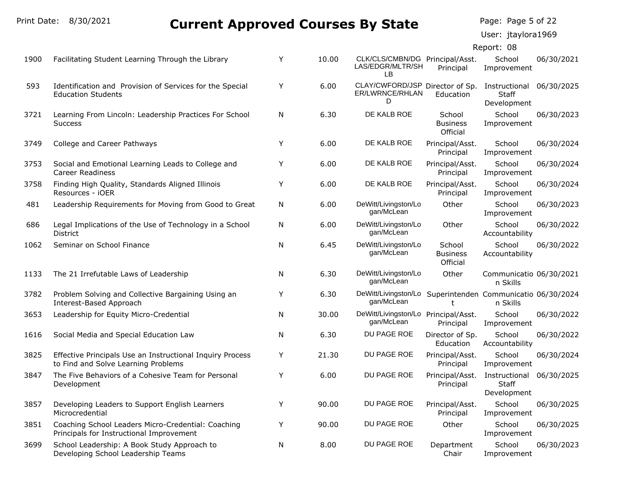| Print Date: | 8/30/2021<br><b>Current Approved Courses By State</b>                                            |   |       |                                                                  |                                       | Page: Page 5 of 22                                      |            |
|-------------|--------------------------------------------------------------------------------------------------|---|-------|------------------------------------------------------------------|---------------------------------------|---------------------------------------------------------|------------|
|             |                                                                                                  |   |       |                                                                  |                                       | User: jtaylora1969                                      |            |
|             |                                                                                                  |   |       |                                                                  |                                       | Report: 08                                              |            |
| 1900        | Facilitating Student Learning Through the Library                                                | Y | 10.00 | CLK/CLS/CMBN/DG Principal/Asst.<br>LAS/EDGR/MLTR/SH<br><b>LB</b> | Principal                             | School<br>Improvement                                   | 06/30/2021 |
| 593         | Identification and Provision of Services for the Special<br><b>Education Students</b>            | Y | 6.00  | CLAY/CWFORD/JSP Director of Sp.<br>ER/LWRNCE/RHLAN<br>D          | Education                             | Instructional 06/30/2025<br><b>Staff</b><br>Development |            |
| 3721        | Learning From Lincoln: Leadership Practices For School<br><b>Success</b>                         | Ν | 6.30  | DE KALB ROE                                                      | School<br><b>Business</b><br>Official | School<br>Improvement                                   | 06/30/2023 |
| 3749        | College and Career Pathways                                                                      | Y | 6.00  | DE KALB ROE                                                      | Principal/Asst.<br>Principal          | School<br>Improvement                                   | 06/30/2024 |
| 3753        | Social and Emotional Learning Leads to College and<br>Career Readiness                           | Y | 6.00  | DE KALB ROE                                                      | Principal/Asst.<br>Principal          | School<br>Improvement                                   | 06/30/2024 |
| 3758        | Finding High Quality, Standards Aligned Illinois<br>Resources - iOER                             | Υ | 6.00  | DE KALB ROE                                                      | Principal/Asst.<br>Principal          | School<br>Improvement                                   | 06/30/2024 |
| 481         | Leadership Requirements for Moving from Good to Great                                            | N | 6.00  | DeWitt/Livingston/Lo<br>gan/McLean                               | Other                                 | School<br>Improvement                                   | 06/30/2023 |
| 686         | Legal Implications of the Use of Technology in a School<br><b>District</b>                       | Ν | 6.00  | DeWitt/Livingston/Lo<br>gan/McLean                               | Other                                 | School<br>Accountability                                | 06/30/2022 |
| 1062        | Seminar on School Finance                                                                        | Ν | 6.45  | DeWitt/Livingston/Lo<br>gan/McLean                               | School<br><b>Business</b><br>Official | School<br>Accountability                                | 06/30/2022 |
| 1133        | The 21 Irrefutable Laws of Leadership                                                            | N | 6.30  | DeWitt/Livingston/Lo<br>gan/McLean                               | Other                                 | Communicatio 06/30/2021<br>n Skills                     |            |
| 3782        | Problem Solving and Collective Bargaining Using an<br>Interest-Based Approach                    | Y | 6.30  | DeWitt/Livingston/Lo<br>gan/McLean                               | Superintenden Communicatio 06/30/2024 | n Skills                                                |            |
| 3653        | Leadership for Equity Micro-Credential                                                           | N | 30.00 | DeWitt/Livingston/Lo<br>gan/McLean                               | Principal/Asst.<br>Principal          | School<br>Improvement                                   | 06/30/2022 |
| 1616        | Social Media and Special Education Law                                                           | Ν | 6.30  | DU PAGE ROE                                                      | Director of Sp.<br>Education          | School<br>Accountability                                | 06/30/2022 |
| 3825        | Effective Principals Use an Instructional Inquiry Process<br>to Find and Solve Learning Problems | Y | 21.30 | DU PAGE ROE                                                      | Principal/Asst.<br>Principal          | School<br>Improvement                                   | 06/30/2024 |
| 3847        | The Five Behaviors of a Cohesive Team for Personal<br>Development                                | Y | 6.00  | DU PAGE ROE                                                      | Principal/Asst.<br>Principal          | Instructional 06/30/2025<br><b>Staff</b><br>Development |            |
| 3857        | Developing Leaders to Support English Learners<br>Microcredential                                | Y | 90.00 | DU PAGE ROE                                                      | Principal/Asst.<br>Principal          | School<br>Improvement                                   | 06/30/2025 |
| 3851        | Coaching School Leaders Micro-Credential: Coaching<br>Principals for Instructional Improvement   | Y | 90.00 | DU PAGE ROE                                                      | Other                                 | School<br>Improvement                                   | 06/30/2025 |
| 3699        | School Leadership: A Book Study Approach to<br>Developing School Leadership Teams                | N | 8.00  | DU PAGE ROE                                                      | Department<br>Chair                   | School<br>Improvement                                   | 06/30/2023 |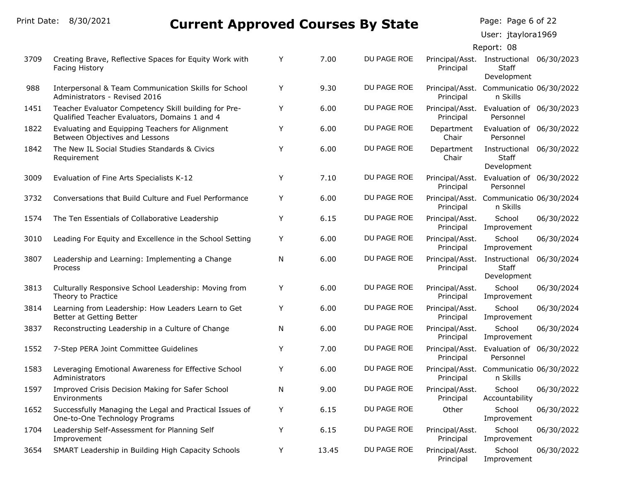Page: Page 6 of 22

Principal

Improvement

|      |                                                                                                       |   |       |             |                              | User: jtaylora1969                           |            |
|------|-------------------------------------------------------------------------------------------------------|---|-------|-------------|------------------------------|----------------------------------------------|------------|
|      |                                                                                                       |   |       |             |                              | Report: 08                                   |            |
| 3709 | Creating Brave, Reflective Spaces for Equity Work with<br><b>Facing History</b>                       | Y | 7.00  | DU PAGE ROE | Principal/Asst.<br>Principal | Instructional<br><b>Staff</b><br>Development | 06/30/2023 |
| 988  | Interpersonal & Team Communication Skills for School<br>Administrators - Revised 2016                 | Y | 9.30  | DU PAGE ROE | Principal/Asst.<br>Principal | Communicatio 06/30/2022<br>n Skills          |            |
| 1451 | Teacher Evaluator Competency Skill building for Pre-<br>Qualified Teacher Evaluators, Domains 1 and 4 | Y | 6.00  | DU PAGE ROE | Principal/Asst.<br>Principal | Evaluation of 06/30/2023<br>Personnel        |            |
| 1822 | Evaluating and Equipping Teachers for Alignment<br>Between Objectives and Lessons                     | Y | 6.00  | DU PAGE ROE | Department<br>Chair          | Evaluation of 06/30/2022<br>Personnel        |            |
| 1842 | The New IL Social Studies Standards & Civics<br>Requirement                                           | Υ | 6.00  | DU PAGE ROE | Department<br>Chair          | Instructional<br><b>Staff</b><br>Development | 06/30/2022 |
| 3009 | Evaluation of Fine Arts Specialists K-12                                                              | Y | 7.10  | DU PAGE ROE | Principal/Asst.<br>Principal | Evaluation of 06/30/2022<br>Personnel        |            |
| 3732 | Conversations that Build Culture and Fuel Performance                                                 | Y | 6.00  | DU PAGE ROE | Principal/Asst.<br>Principal | Communicatio 06/30/2024<br>n Skills          |            |
| 1574 | The Ten Essentials of Collaborative Leadership                                                        | Y | 6.15  | DU PAGE ROE | Principal/Asst.<br>Principal | School<br>Improvement                        | 06/30/2022 |
| 3010 | Leading For Equity and Excellence in the School Setting                                               | Υ | 6.00  | DU PAGE ROE | Principal/Asst.<br>Principal | School<br>Improvement                        | 06/30/2024 |
| 3807 | Leadership and Learning: Implementing a Change<br>Process                                             | N | 6.00  | DU PAGE ROE | Principal/Asst.<br>Principal | Instructional<br><b>Staff</b><br>Development | 06/30/2024 |
| 3813 | Culturally Responsive School Leadership: Moving from<br>Theory to Practice                            | Y | 6.00  | DU PAGE ROE | Principal/Asst.<br>Principal | School<br>Improvement                        | 06/30/2024 |
| 3814 | Learning from Leadership: How Leaders Learn to Get<br>Better at Getting Better                        | Y | 6.00  | DU PAGE ROE | Principal/Asst.<br>Principal | School<br>Improvement                        | 06/30/2024 |
| 3837 | Reconstructing Leadership in a Culture of Change                                                      | N | 6.00  | DU PAGE ROE | Principal/Asst.<br>Principal | School<br>Improvement                        | 06/30/2024 |
| 1552 | 7-Step PERA Joint Committee Guidelines                                                                | Y | 7.00  | DU PAGE ROE | Principal/Asst.<br>Principal | Evaluation of 06/30/2022<br>Personnel        |            |
| 1583 | Leveraging Emotional Awareness for Effective School<br>Administrators                                 | Υ | 6.00  | DU PAGE ROE | Principal/Asst.<br>Principal | Communicatio 06/30/2022<br>n Skills          |            |
| 1597 | Improved Crisis Decision Making for Safer School<br>Environments                                      | N | 9.00  | DU PAGE ROE | Principal/Asst.<br>Principal | School<br>Accountability                     | 06/30/2022 |
| 1652 | Successfully Managing the Legal and Practical Issues of<br>One-to-One Technology Programs             | Y | 6.15  | DU PAGE ROE | Other                        | School<br>Improvement                        | 06/30/2022 |
| 1704 | Leadership Self-Assessment for Planning Self<br>Improvement                                           | Y | 6.15  | DU PAGE ROE | Principal/Asst.<br>Principal | School<br>Improvement                        | 06/30/2022 |
| 3654 | SMART Leadership in Building High Capacity Schools                                                    | Y | 13.45 | DU PAGE ROE | Principal/Asst.              | School                                       | 06/30/2022 |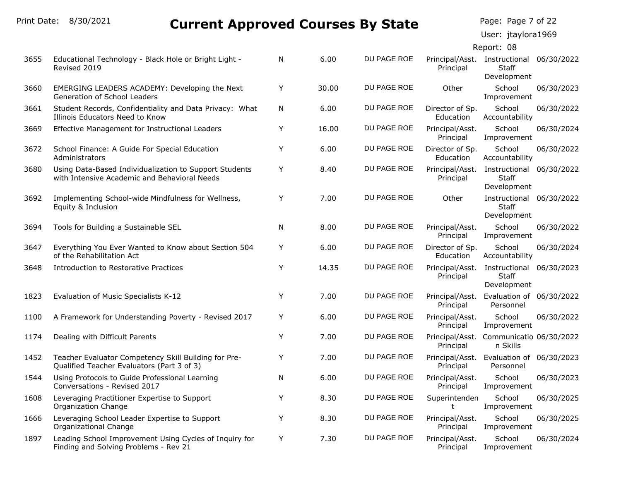| Print Date: | 8/30/2021<br><b>Current Approved Courses By State</b>                                                  |   |       |             |                                                       | Page: Page 7 of 22                                      |            |
|-------------|--------------------------------------------------------------------------------------------------------|---|-------|-------------|-------------------------------------------------------|---------------------------------------------------------|------------|
|             |                                                                                                        |   |       |             |                                                       | User: jtaylora1969                                      |            |
|             |                                                                                                        |   |       |             |                                                       | Report: 08                                              |            |
| 3655        | Educational Technology - Black Hole or Bright Light -<br>Revised 2019                                  | N | 6.00  | DU PAGE ROE | Principal/Asst. Instructional 06/30/2022<br>Principal | Staff<br>Development                                    |            |
| 3660        | EMERGING LEADERS ACADEMY: Developing the Next<br>Generation of School Leaders                          | Y | 30.00 | DU PAGE ROE | Other                                                 | School<br>Improvement                                   | 06/30/2023 |
| 3661        | Student Records, Confidentiality and Data Privacy: What<br>Illinois Educators Need to Know             | Ν | 6.00  | DU PAGE ROE | Director of Sp.<br>Education                          | School<br>Accountability                                | 06/30/2022 |
| 3669        | Effective Management for Instructional Leaders                                                         | Y | 16.00 | DU PAGE ROE | Principal/Asst.<br>Principal                          | School<br>Improvement                                   | 06/30/2024 |
| 3672        | School Finance: A Guide For Special Education<br>Administrators                                        | Y | 6.00  | DU PAGE ROE | Director of Sp.<br>Education                          | School<br>Accountability                                | 06/30/2022 |
| 3680        | Using Data-Based Individualization to Support Students<br>with Intensive Academic and Behavioral Needs | Υ | 8.40  | DU PAGE ROE | Principal/Asst.<br>Principal                          | Instructional<br>Staff<br>Development                   | 06/30/2022 |
| 3692        | Implementing School-wide Mindfulness for Wellness,<br>Equity & Inclusion                               | Y | 7.00  | DU PAGE ROE | Other                                                 | Instructional<br><b>Staff</b><br>Development            | 06/30/2022 |
| 3694        | Tools for Building a Sustainable SEL                                                                   | Ν | 8.00  | DU PAGE ROE | Principal/Asst.<br>Principal                          | School<br>Improvement                                   | 06/30/2022 |
| 3647        | Everything You Ever Wanted to Know about Section 504<br>of the Rehabilitation Act                      | Y | 6.00  | DU PAGE ROE | Director of Sp.<br>Education                          | School<br>Accountability                                | 06/30/2024 |
| 3648        | Introduction to Restorative Practices                                                                  | Y | 14.35 | DU PAGE ROE | Principal/Asst.<br>Principal                          | Instructional 06/30/2023<br><b>Staff</b><br>Development |            |
| 1823        | Evaluation of Music Specialists K-12                                                                   | Y | 7.00  | DU PAGE ROE | Principal/Asst.<br>Principal                          | Evaluation of 06/30/2022<br>Personnel                   |            |
| 1100        | A Framework for Understanding Poverty - Revised 2017                                                   | Y | 6.00  | DU PAGE ROE | Principal/Asst.<br>Principal                          | School<br>Improvement                                   | 06/30/2022 |
| 1174        | Dealing with Difficult Parents                                                                         | Y | 7.00  | DU PAGE ROE | Principal/Asst.<br>Principal                          | Communicatio 06/30/2022<br>n Skills                     |            |
| 1452        | Teacher Evaluator Competency Skill Building for Pre-<br>Qualified Teacher Evaluators (Part 3 of 3)     | Y | 7.00  | DU PAGE ROE | Principal/Asst.<br>Principal                          | Evaluation of 06/30/2023<br>Personnel                   |            |
| 1544        | Using Protocols to Guide Professional Learning<br>Conversations - Revised 2017                         | N | 6.00  | DU PAGE ROE | Principal/Asst.<br>Principal                          | School<br>Improvement                                   | 06/30/2023 |
| 1608        | Leveraging Practitioner Expertise to Support<br>Organization Change                                    | Y | 8.30  | DU PAGE ROE | Superintenden<br>t                                    | School<br>Improvement                                   | 06/30/2025 |
| 1666        | Leveraging School Leader Expertise to Support<br>Organizational Change                                 | Y | 8.30  | DU PAGE ROE | Principal/Asst.<br>Principal                          | School<br>Improvement                                   | 06/30/2025 |
| 1897        | Leading School Improvement Using Cycles of Inquiry for<br>Finding and Solving Problems - Rev 21        | Y | 7.30  | DU PAGE ROE | Principal/Asst.<br>Principal                          | School<br>Improvement                                   | 06/30/2024 |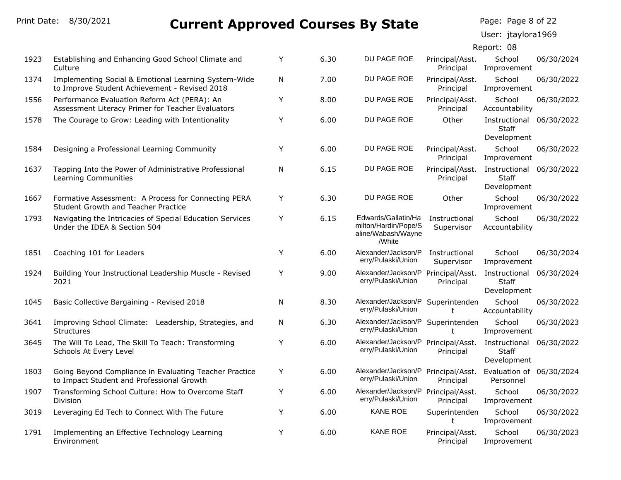Page: Page 8 of 22

User: jtaylora1969

| 1923 | Establishing and Enhancing Good School Climate and<br>Culture                                         | Y | 6.30 | DU PAGE ROE                                                                        | Principal/Asst.<br>Principal | School<br>Improvement                                   | 06/30/2024 |
|------|-------------------------------------------------------------------------------------------------------|---|------|------------------------------------------------------------------------------------|------------------------------|---------------------------------------------------------|------------|
| 1374 | Implementing Social & Emotional Learning System-Wide<br>to Improve Student Achievement - Revised 2018 | N | 7.00 | DU PAGE ROE                                                                        | Principal/Asst.<br>Principal | School<br>Improvement                                   | 06/30/2022 |
| 1556 | Performance Evaluation Reform Act (PERA): An<br>Assessment Literacy Primer for Teacher Evaluators     | Y | 8.00 | DU PAGE ROE                                                                        | Principal/Asst.<br>Principal | School<br>Accountability                                | 06/30/2022 |
| 1578 | The Courage to Grow: Leading with Intentionality                                                      | Υ | 6.00 | DU PAGE ROE                                                                        | Other                        | Instructional 06/30/2022<br>Staff<br>Development        |            |
| 1584 | Designing a Professional Learning Community                                                           | Y | 6.00 | DU PAGE ROE                                                                        | Principal/Asst.<br>Principal | School<br>Improvement                                   | 06/30/2022 |
| 1637 | Tapping Into the Power of Administrative Professional<br>Learning Communities                         | Ν | 6.15 | DU PAGE ROE                                                                        | Principal/Asst.<br>Principal | Instructional 06/30/2022<br><b>Staff</b><br>Development |            |
| 1667 | Formative Assessment: A Process for Connecting PERA<br>Student Growth and Teacher Practice            | Y | 6.30 | DU PAGE ROE                                                                        | Other                        | School<br>Improvement                                   | 06/30/2022 |
| 1793 | Navigating the Intricacies of Special Education Services<br>Under the IDEA & Section 504              | Υ | 6.15 | Edwards/Gallatin/Ha<br>milton/Hardin/Pope/S<br>aline/Wabash/Wayne<br>/White        | Instructional<br>Supervisor  | School<br>Accountability                                | 06/30/2022 |
| 1851 | Coaching 101 for Leaders                                                                              | Y | 6.00 | Alexander/Jackson/P<br>erry/Pulaski/Union                                          | Instructional<br>Supervisor  | School<br>Improvement                                   | 06/30/2024 |
| 1924 | Building Your Instructional Leadership Muscle - Revised<br>2021                                       | Υ | 9.00 | Alexander/Jackson/P Principal/Asst.<br>erry/Pulaski/Union                          | Principal                    | Instructional<br>Staff<br>Development                   | 06/30/2024 |
| 1045 | Basic Collective Bargaining - Revised 2018                                                            | N | 8.30 | Alexander/Jackson/P<br>erry/Pulaski/Union                                          | Superintenden<br>t.          | School<br>Accountability                                | 06/30/2022 |
| 3641 | Improving School Climate: Leadership, Strategies, and<br><b>Structures</b>                            | N | 6.30 | Alexander/Jackson/P Superintenden<br>erry/Pulaski/Union                            | t.                           | School<br>Improvement                                   | 06/30/2023 |
| 3645 | The Will To Lead, The Skill To Teach: Transforming<br>Schools At Every Level                          | Υ | 6.00 | Alexander/Jackson/P Principal/Asst.<br>erry/Pulaski/Union                          | Principal                    | Instructional 06/30/2022<br>Staff<br>Development        |            |
| 1803 | Going Beyond Compliance in Evaluating Teacher Practice<br>to Impact Student and Professional Growth   | Y | 6.00 | Alexander/Jackson/P Principal/Asst. Evaluation of 06/30/2024<br>erry/Pulaski/Union | Principal                    | Personnel                                               |            |
| 1907 | Transforming School Culture: How to Overcome Staff<br>Division                                        | Y | 6.00 | Alexander/Jackson/P Principal/Asst.<br>erry/Pulaski/Union                          | Principal                    | School<br>Improvement                                   | 06/30/2022 |
| 3019 | Leveraging Ed Tech to Connect With The Future                                                         | Y | 6.00 | <b>KANE ROE</b>                                                                    | Superintenden<br>t.          | School<br>Improvement                                   | 06/30/2022 |
| 1791 | Implementing an Effective Technology Learning<br>Environment                                          | Y | 6.00 | <b>KANE ROE</b>                                                                    | Principal/Asst.<br>Principal | School<br>Improvement                                   | 06/30/2023 |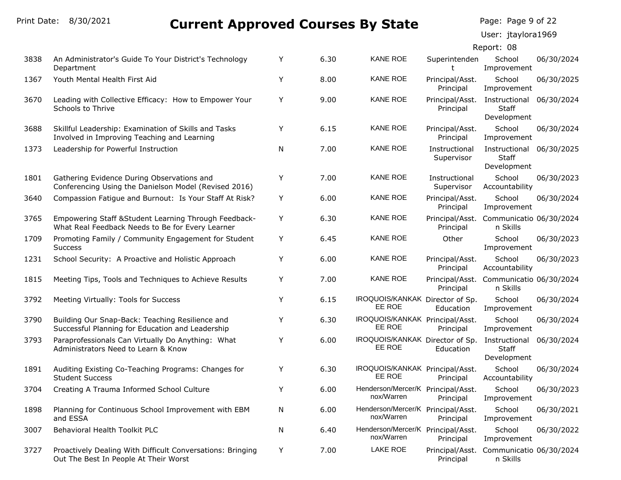|  | Page: Page 9 of 22 |  |  |  |
|--|--------------------|--|--|--|
|--|--------------------|--|--|--|

User: jtaylora1969

| 3838 | An Administrator's Guide To Your District's Technology<br>Department                                      | Y | 6.30 | <b>KANE ROE</b>                                  | Superintenden                | School<br>Improvement                 | 06/30/2024 |
|------|-----------------------------------------------------------------------------------------------------------|---|------|--------------------------------------------------|------------------------------|---------------------------------------|------------|
| 1367 | Youth Mental Health First Aid                                                                             | Y | 8.00 | <b>KANE ROE</b>                                  | Principal/Asst.<br>Principal | School<br>Improvement                 | 06/30/2025 |
| 3670 | Leading with Collective Efficacy: How to Empower Your<br>Schools to Thrive                                | Υ | 9.00 | <b>KANE ROE</b>                                  | Principal/Asst.<br>Principal | Instructional<br>Staff<br>Development | 06/30/2024 |
| 3688 | Skillful Leadership: Examination of Skills and Tasks<br>Involved in Improving Teaching and Learning       | Y | 6.15 | <b>KANE ROE</b>                                  | Principal/Asst.<br>Principal | School<br>Improvement                 | 06/30/2024 |
| 1373 | Leadership for Powerful Instruction                                                                       | N | 7.00 | <b>KANE ROE</b>                                  | Instructional<br>Supervisor  | Instructional<br>Staff<br>Development | 06/30/2025 |
| 1801 | Gathering Evidence During Observations and<br>Conferencing Using the Danielson Model (Revised 2016)       | Υ | 7.00 | <b>KANE ROE</b>                                  | Instructional<br>Supervisor  | School<br>Accountability              | 06/30/2023 |
| 3640 | Compassion Fatigue and Burnout: Is Your Staff At Risk?                                                    | Y | 6.00 | <b>KANE ROE</b>                                  | Principal/Asst.<br>Principal | School<br>Improvement                 | 06/30/2024 |
| 3765 | Empowering Staff & Student Learning Through Feedback-<br>What Real Feedback Needs to Be for Every Learner | Y | 6.30 | <b>KANE ROE</b>                                  | Principal/Asst.<br>Principal | Communicatio 06/30/2024<br>n Skills   |            |
| 1709 | Promoting Family / Community Engagement for Student<br><b>Success</b>                                     | Υ | 6.45 | <b>KANE ROE</b>                                  | Other                        | School<br>Improvement                 | 06/30/2023 |
| 1231 | School Security: A Proactive and Holistic Approach                                                        | Y | 6.00 | <b>KANE ROE</b>                                  | Principal/Asst.<br>Principal | School<br>Accountability              | 06/30/2023 |
| 1815 | Meeting Tips, Tools and Techniques to Achieve Results                                                     | Y | 7.00 | <b>KANE ROE</b>                                  | Principal/Asst.<br>Principal | Communicatio 06/30/2024<br>n Skills   |            |
| 3792 | Meeting Virtually: Tools for Success                                                                      | Y | 6.15 | IROQUOIS/KANKAK Director of Sp.<br>EE ROE        | Education                    | School<br>Improvement                 | 06/30/2024 |
| 3790 | Building Our Snap-Back: Teaching Resilience and<br>Successful Planning for Education and Leadership       | Y | 6.30 | IROQUOIS/KANKAK Principal/Asst.<br>EE ROE        | Principal                    | School<br>Improvement                 | 06/30/2024 |
| 3793 | Paraprofessionals Can Virtually Do Anything: What<br>Administrators Need to Learn & Know                  | Y | 6.00 | IROQUOIS/KANKAK Director of Sp.<br>EE ROE        | Education                    | Instructional<br>Staff<br>Development | 06/30/2024 |
| 1891 | Auditing Existing Co-Teaching Programs: Changes for<br><b>Student Success</b>                             | Y | 6.30 | IROQUOIS/KANKAK Principal/Asst.<br>EE ROE        | Principal                    | School<br>Accountability              | 06/30/2024 |
| 3704 | Creating A Trauma Informed School Culture                                                                 | Y | 6.00 | Henderson/Mercer/K Principal/Asst.<br>nox/Warren | Principal                    | School<br>Improvement                 | 06/30/2023 |
| 1898 | Planning for Continuous School Improvement with EBM<br>and ESSA                                           | N | 6.00 | Henderson/Mercer/K Principal/Asst.<br>nox/Warren | Principal                    | School<br>Improvement                 | 06/30/2021 |
| 3007 | Behavioral Health Toolkit PLC                                                                             | N | 6.40 | Henderson/Mercer/K Principal/Asst.<br>nox/Warren | Principal                    | School<br>Improvement                 | 06/30/2022 |
| 3727 | Proactively Dealing With Difficult Conversations: Bringing<br>Out The Best In People At Their Worst       | Y | 7.00 | <b>LAKE ROE</b>                                  | Principal/Asst.<br>Principal | Communicatio 06/30/2024<br>n Skills   |            |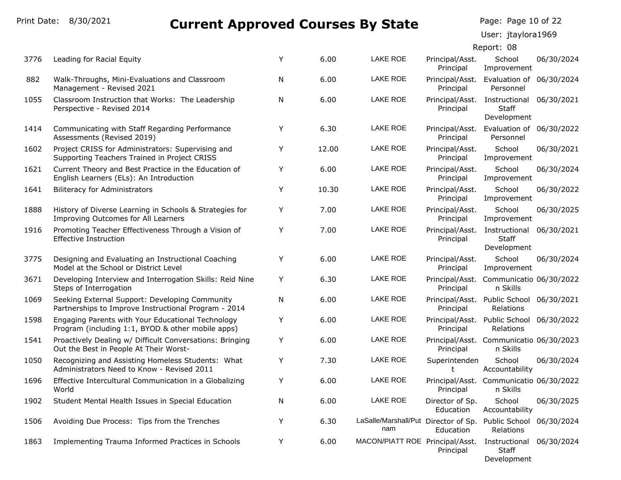Page: Page 10 of 22

User: jtaylora1969

| 3776 | Leading for Racial Equity                                                                              | Y | 6.00  | <b>LAKE ROE</b>                             | Principal/Asst.<br>Principal                          | School<br>Improvement                        | 06/30/2024 |
|------|--------------------------------------------------------------------------------------------------------|---|-------|---------------------------------------------|-------------------------------------------------------|----------------------------------------------|------------|
| 882  | Walk-Throughs, Mini-Evaluations and Classroom<br>Management - Revised 2021                             | Ν | 6.00  | LAKE ROE                                    | Principal/Asst.<br>Principal                          | Evaluation of 06/30/2024<br>Personnel        |            |
| 1055 | Classroom Instruction that Works: The Leadership<br>Perspective - Revised 2014                         | Ν | 6.00  | LAKE ROE                                    | Principal/Asst.<br>Principal                          | Instructional<br><b>Staff</b><br>Development | 06/30/2021 |
| 1414 | Communicating with Staff Regarding Performance<br>Assessments (Revised 2019)                           | Y | 6.30  | LAKE ROE                                    | Principal/Asst.<br>Principal                          | Evaluation of 06/30/2022<br>Personnel        |            |
| 1602 | Project CRISS for Administrators: Supervising and<br>Supporting Teachers Trained in Project CRISS      | Y | 12.00 | LAKE ROE                                    | Principal/Asst.<br>Principal                          | School<br>Improvement                        | 06/30/2021 |
| 1621 | Current Theory and Best Practice in the Education of<br>English Learners (ELs): An Introduction        | Y | 6.00  | LAKE ROE                                    | Principal/Asst.<br>Principal                          | School<br>Improvement                        | 06/30/2024 |
| 1641 | <b>Biliteracy for Administrators</b>                                                                   | Y | 10.30 | LAKE ROE                                    | Principal/Asst.<br>Principal                          | School<br>Improvement                        | 06/30/2022 |
| 1888 | History of Diverse Learning in Schools & Strategies for<br>Improving Outcomes for All Learners         | Y | 7.00  | LAKE ROE                                    | Principal/Asst.<br>Principal                          | School<br>Improvement                        | 06/30/2025 |
| 1916 | Promoting Teacher Effectiveness Through a Vision of<br><b>Effective Instruction</b>                    | Y | 7.00  | LAKE ROE                                    | Principal/Asst.<br>Principal                          | Instructional<br><b>Staff</b><br>Development | 06/30/2021 |
| 3775 | Designing and Evaluating an Instructional Coaching<br>Model at the School or District Level            | Y | 6.00  | LAKE ROE                                    | Principal/Asst.<br>Principal                          | School<br>Improvement                        | 06/30/2024 |
| 3671 | Developing Interview and Interrogation Skills: Reid Nine<br>Steps of Interrogation                     | Y | 6.30  | LAKE ROE                                    | Principal/Asst.<br>Principal                          | Communicatio 06/30/2022<br>n Skills          |            |
| 1069 | Seeking External Support: Developing Community<br>Partnerships to Improve Instructional Program - 2014 | N | 6.00  | LAKE ROE                                    | Principal/Asst. Public School 06/30/2021<br>Principal | Relations                                    |            |
| 1598 | Engaging Parents with Your Educational Technology<br>Program (including 1:1, BYOD & other mobile apps) | Y | 6.00  | LAKE ROE                                    | Principal/Asst. Public School 06/30/2022<br>Principal | Relations                                    |            |
| 1541 | Proactively Dealing w/ Difficult Conversations: Bringing<br>Out the Best in People At Their Worst-     | Y | 6.00  | LAKE ROE                                    | Principal/Asst. Communicatio 06/30/2023<br>Principal  | n Skills                                     |            |
| 1050 | Recognizing and Assisting Homeless Students: What<br>Administrators Need to Know - Revised 2011        | Y | 7.30  | <b>LAKE ROE</b>                             | Superintenden<br>t                                    | School<br>Accountability                     | 06/30/2024 |
| 1696 | Effective Intercultural Communication in a Globalizing<br>World                                        | Y | 6.00  | LAKE ROE                                    | Principal/Asst. Communicatio 06/30/2022<br>Principal  | n Skills                                     |            |
| 1902 | Student Mental Health Issues in Special Education                                                      | N | 6.00  | LAKE ROE                                    | Director of Sp.<br>Education                          | School<br>Accountability                     | 06/30/2025 |
| 1506 | Avoiding Due Process: Tips from the Trenches                                                           | Υ | 6.30  | LaSalle/Marshall/Put Director of Sp.<br>nam | Education                                             | Public School<br>Relations                   | 06/30/2024 |
| 1863 | Implementing Trauma Informed Practices in Schools                                                      | Y | 6.00  | MACON/PIATT ROE Principal/Asst.             | Principal                                             | Instructional<br><b>Staff</b><br>Development | 06/30/2024 |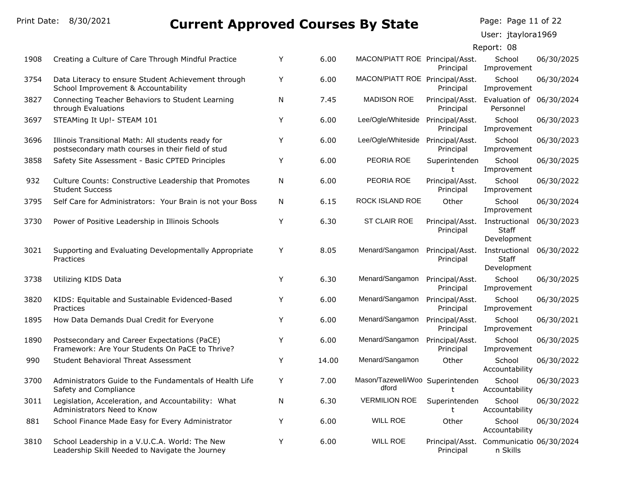Page: Page 11 of 22

User: jtaylora1969

| 1908 | Creating a Culture of Care Through Mindful Practice                                                     | Y | 6.00  | MACON/PIATT ROE Principal/Asst.           | Principal                    | School<br>Improvement                        | 06/30/2025 |
|------|---------------------------------------------------------------------------------------------------------|---|-------|-------------------------------------------|------------------------------|----------------------------------------------|------------|
| 3754 | Data Literacy to ensure Student Achievement through<br>School Improvement & Accountability              | Υ | 6.00  | MACON/PIATT ROE Principal/Asst.           | Principal                    | School<br>Improvement                        | 06/30/2024 |
| 3827 | Connecting Teacher Behaviors to Student Learning<br>through Evaluations                                 | N | 7.45  | <b>MADISON ROE</b>                        | Principal/Asst.<br>Principal | Evaluation of<br>Personnel                   | 06/30/2024 |
| 3697 | STEAMing It Up!- STEAM 101                                                                              | Y | 6.00  | Lee/Ogle/Whiteside                        | Principal/Asst.<br>Principal | School<br>Improvement                        | 06/30/2023 |
| 3696 | Illinois Transitional Math: All students ready for<br>postsecondary math courses in their field of stud | Υ | 6.00  | Lee/Ogle/Whiteside                        | Principal/Asst.<br>Principal | School<br>Improvement                        | 06/30/2023 |
| 3858 | Safety Site Assessment - Basic CPTED Principles                                                         | Υ | 6.00  | PEORIA ROE                                | Superintenden<br>t           | School<br>Improvement                        | 06/30/2025 |
| 932  | Culture Counts: Constructive Leadership that Promotes<br><b>Student Success</b>                         | N | 6.00  | PEORIA ROE                                | Principal/Asst.<br>Principal | School<br>Improvement                        | 06/30/2022 |
| 3795 | Self Care for Administrators: Your Brain is not your Boss                                               | N | 6.15  | ROCK ISLAND ROE                           | Other                        | School<br>Improvement                        | 06/30/2024 |
| 3730 | Power of Positive Leadership in Illinois Schools                                                        | Y | 6.30  | ST CLAIR ROE                              | Principal/Asst.<br>Principal | Instructional<br>Staff<br>Development        | 06/30/2023 |
| 3021 | Supporting and Evaluating Developmentally Appropriate<br>Practices                                      | Υ | 8.05  | Menard/Sangamon                           | Principal/Asst.<br>Principal | Instructional<br><b>Staff</b><br>Development | 06/30/2022 |
| 3738 | Utilizing KIDS Data                                                                                     | Y | 6.30  | Menard/Sangamon                           | Principal/Asst.<br>Principal | School<br>Improvement                        | 06/30/2025 |
| 3820 | KIDS: Equitable and Sustainable Evidenced-Based<br>Practices                                            | Y | 6.00  | Menard/Sangamon                           | Principal/Asst.<br>Principal | School<br>Improvement                        | 06/30/2025 |
| 1895 | How Data Demands Dual Credit for Everyone                                                               | Y | 6.00  | Menard/Sangamon                           | Principal/Asst.<br>Principal | School<br>Improvement                        | 06/30/2021 |
| 1890 | Postsecondary and Career Expectations (PaCE)<br>Framework: Are Your Students On PaCE to Thrive?         | Y | 6.00  | Menard/Sangamon                           | Principal/Asst.<br>Principal | School<br>Improvement                        | 06/30/2025 |
| 990  | Student Behavioral Threat Assessment                                                                    | Y | 14.00 | Menard/Sangamon                           | Other                        | School<br>Accountability                     | 06/30/2022 |
| 3700 | Administrators Guide to the Fundamentals of Health Life<br>Safety and Compliance                        | Υ | 7.00  | Mason/Tazewell/Woo Superintenden<br>dford | t                            | School<br>Accountability                     | 06/30/2023 |
| 3011 | Legislation, Acceleration, and Accountability: What<br>Administrators Need to Know                      | N | 6.30  | <b>VERMILION ROE</b>                      | Superintenden<br>t           | School<br>Accountability                     | 06/30/2022 |
| 881  | School Finance Made Easy for Every Administrator                                                        | Y | 6.00  | <b>WILL ROE</b>                           | Other                        | School<br>Accountability                     | 06/30/2024 |
| 3810 | School Leadership in a V.U.C.A. World: The New<br>Leadership Skill Needed to Navigate the Journey       | Y | 6.00  | <b>WILL ROE</b>                           | Principal/Asst.<br>Principal | Communicatio 06/30/2024<br>n Skills          |            |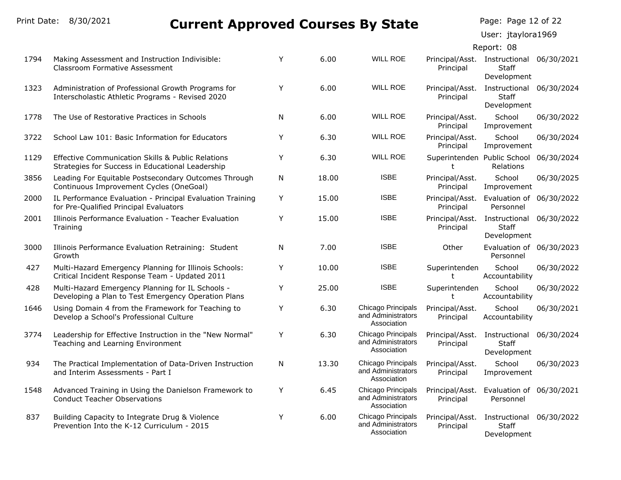Page: Page 12 of 22

User: jtaylora1969

|  |  | Report: |  | 08 |
|--|--|---------|--|----|
|--|--|---------|--|----|

| 1794 | Making Assessment and Instruction Indivisible:<br>Classroom Formative Assessment                        | Y | 6.00  | <b>WILL ROE</b>                                         | Principal/Asst.<br>Principal     | Instructional 06/30/2021<br>Staff<br>Development |            |
|------|---------------------------------------------------------------------------------------------------------|---|-------|---------------------------------------------------------|----------------------------------|--------------------------------------------------|------------|
| 1323 | Administration of Professional Growth Programs for<br>Interscholastic Athletic Programs - Revised 2020  | Y | 6.00  | <b>WILL ROE</b>                                         | Principal/Asst.<br>Principal     | Instructional<br>Staff<br>Development            | 06/30/2024 |
| 1778 | The Use of Restorative Practices in Schools                                                             | N | 6.00  | <b>WILL ROE</b>                                         | Principal/Asst.<br>Principal     | School<br>Improvement                            | 06/30/2022 |
| 3722 | School Law 101: Basic Information for Educators                                                         | Y | 6.30  | <b>WILL ROE</b>                                         | Principal/Asst.<br>Principal     | School<br>Improvement                            | 06/30/2024 |
| 1129 | Effective Communication Skills & Public Relations<br>Strategies for Success in Educational Leadership   | Υ | 6.30  | <b>WILL ROE</b>                                         | Superintenden Public School<br>t | Relations                                        | 06/30/2024 |
| 3856 | Leading For Equitable Postsecondary Outcomes Through<br>Continuous Improvement Cycles (OneGoal)         | N | 18.00 | <b>ISBE</b>                                             | Principal/Asst.<br>Principal     | School<br>Improvement                            | 06/30/2025 |
| 2000 | IL Performance Evaluation - Principal Evaluation Training<br>for Pre-Qualified Principal Evaluators     | Y | 15.00 | <b>ISBE</b>                                             | Principal/Asst.<br>Principal     | Evaluation of 06/30/2022<br>Personnel            |            |
| 2001 | Illinois Performance Evaluation - Teacher Evaluation<br>Training                                        | Y | 15.00 | <b>ISBE</b>                                             | Principal/Asst.<br>Principal     | Instructional<br>Staff<br>Development            | 06/30/2022 |
| 3000 | Illinois Performance Evaluation Retraining: Student<br>Growth                                           | N | 7.00  | <b>ISBE</b>                                             | Other                            | Evaluation of 06/30/2023<br>Personnel            |            |
| 427  | Multi-Hazard Emergency Planning for Illinois Schools:<br>Critical Incident Response Team - Updated 2011 | Y | 10.00 | <b>ISBE</b>                                             | Superintenden<br>t.              | School<br>Accountability                         | 06/30/2022 |
| 428  | Multi-Hazard Emergency Planning for IL Schools -<br>Developing a Plan to Test Emergency Operation Plans | Y | 25.00 | <b>ISBE</b>                                             | Superintenden<br>t               | School<br>Accountability                         | 06/30/2022 |
| 1646 | Using Domain 4 from the Framework for Teaching to<br>Develop a School's Professional Culture            | Y | 6.30  | Chicago Principals<br>and Administrators<br>Association | Principal/Asst.<br>Principal     | School<br>Accountability                         | 06/30/2021 |
| 3774 | Leadership for Effective Instruction in the "New Normal"<br>Teaching and Learning Environment           | Y | 6.30  | Chicago Principals<br>and Administrators<br>Association | Principal/Asst.<br>Principal     | Instructional<br><b>Staff</b><br>Development     | 06/30/2024 |
| 934  | The Practical Implementation of Data-Driven Instruction<br>and Interim Assessments - Part I             | N | 13.30 | Chicago Principals<br>and Administrators<br>Association | Principal/Asst.<br>Principal     | School<br>Improvement                            | 06/30/2023 |
| 1548 | Advanced Training in Using the Danielson Framework to<br><b>Conduct Teacher Observations</b>            | Y | 6.45  | Chicago Principals<br>and Administrators<br>Association | Principal/Asst.<br>Principal     | Evaluation of 06/30/2021<br>Personnel            |            |
| 837  | Building Capacity to Integrate Drug & Violence<br>Prevention Into the K-12 Curriculum - 2015            | Υ | 6.00  | Chicago Principals<br>and Administrators<br>Association | Principal/Asst.<br>Principal     | Instructional<br><b>Staff</b><br>Development     | 06/30/2022 |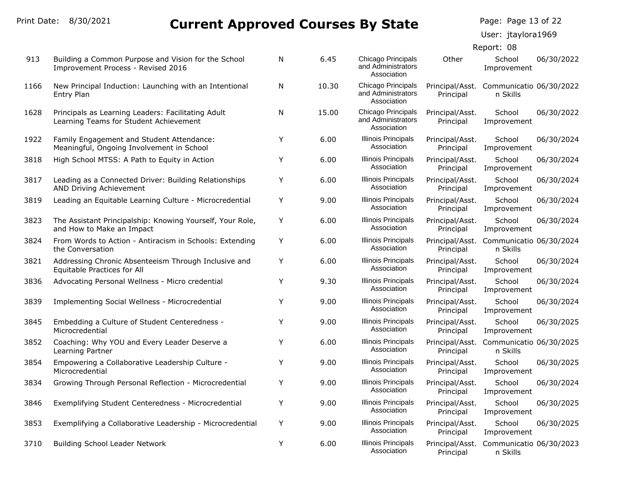Page: Page 13 of 22

#### User: jtaylora1969

| 913  | Building a Common Purpose and Vision for the School<br>Improvement Process - Revised 2016    | N | 6.45  | Chicago Principals<br>and Administrators<br>Association | Other                        | School<br>Improvement               | 06/30/2022 |
|------|----------------------------------------------------------------------------------------------|---|-------|---------------------------------------------------------|------------------------------|-------------------------------------|------------|
| 1166 | New Principal Induction: Launching with an Intentional<br>Entry Plan                         | N | 10.30 | Chicago Principals<br>and Administrators<br>Association | Principal/Asst.<br>Principal | Communicatio 06/30/2022<br>n Skills |            |
| 1628 | Principals as Learning Leaders: Facilitating Adult<br>Learning Teams for Student Achievement | N | 15.00 | Chicago Principals<br>and Administrators<br>Association | Principal/Asst.<br>Principal | School<br>Improvement               | 06/30/2022 |
| 1922 | Family Engagement and Student Attendance:<br>Meaningful, Ongoing Involvement in School       | Y | 6.00  | <b>Illinois Principals</b><br>Association               | Principal/Asst.<br>Principal | School<br>Improvement               | 06/30/2024 |
| 3818 | High School MTSS: A Path to Equity in Action                                                 | Y | 6.00  | <b>Illinois Principals</b><br>Association               | Principal/Asst.<br>Principal | School<br>Improvement               | 06/30/2024 |
| 3817 | Leading as a Connected Driver: Building Relationships<br>AND Driving Achievement             | Y | 6.00  | <b>Illinois Principals</b><br>Association               | Principal/Asst.<br>Principal | School<br>Improvement               | 06/30/2024 |
| 3819 | Leading an Equitable Learning Culture - Microcredential                                      | Y | 9.00  | <b>Illinois Principals</b><br>Association               | Principal/Asst.<br>Principal | School<br>Improvement               | 06/30/2024 |
| 3823 | The Assistant Principalship: Knowing Yourself, Your Role,<br>and How to Make an Impact       | Y | 6.00  | <b>Illinois Principals</b><br>Association               | Principal/Asst.<br>Principal | School<br>Improvement               | 06/30/2024 |
| 3824 | From Words to Action - Antiracism in Schools: Extending<br>the Conversation                  | Y | 6.00  | <b>Illinois Principals</b><br>Association               | Principal/Asst.<br>Principal | Communicatio 06/30/2024<br>n Skills |            |
| 3821 | Addressing Chronic Absenteeism Through Inclusive and<br>Equitable Practices for All          | Y | 6.00  | <b>Illinois Principals</b><br>Association               | Principal/Asst.<br>Principal | School<br>Improvement               | 06/30/2024 |
| 3836 | Advocating Personal Wellness - Micro credential                                              | Y | 9.30  | Illinois Principals<br>Association                      | Principal/Asst.<br>Principal | School<br>Improvement               | 06/30/2024 |
| 3839 | Implementing Social Wellness - Microcredential                                               | Y | 9.00  | <b>Illinois Principals</b><br>Association               | Principal/Asst.<br>Principal | School<br>Improvement               | 06/30/2024 |
| 3845 | Embedding a Culture of Student Centeredness -<br>Microcredential                             | Y | 9.00  | <b>Illinois Principals</b><br>Association               | Principal/Asst.<br>Principal | School<br>Improvement               | 06/30/2025 |
| 3852 | Coaching: Why YOU and Every Leader Deserve a<br>Learning Partner                             | Y | 6.00  | <b>Illinois Principals</b><br>Association               | Principal/Asst.<br>Principal | Communicatio 06/30/2025<br>n Skills |            |
| 3854 | Empowering a Collaborative Leadership Culture -<br>Microcredential                           | Υ | 9.00  | <b>Illinois Principals</b><br>Association               | Principal/Asst.<br>Principal | School<br>Improvement               | 06/30/2025 |
| 3834 | Growing Through Personal Reflection - Microcredential                                        | Y | 9.00  | <b>Illinois Principals</b><br>Association               | Principal/Asst.<br>Principal | School<br>Improvement               | 06/30/2024 |
| 3846 | Exemplifying Student Centeredness - Microcredential                                          | Y | 9.00  | <b>Illinois Principals</b><br>Association               | Principal/Asst.<br>Principal | School<br>Improvement               | 06/30/2025 |
| 3853 | Exemplifying a Collaborative Leadership - Microcredential                                    | Y | 9.00  | <b>Illinois Principals</b><br>Association               | Principal/Asst.<br>Principal | School<br>Improvement               | 06/30/2025 |
| 3710 | <b>Building School Leader Network</b>                                                        | Y | 6.00  | <b>Illinois Principals</b><br>Association               | Principal/Asst.<br>Principal | Communicatio 06/30/2023<br>n Skills |            |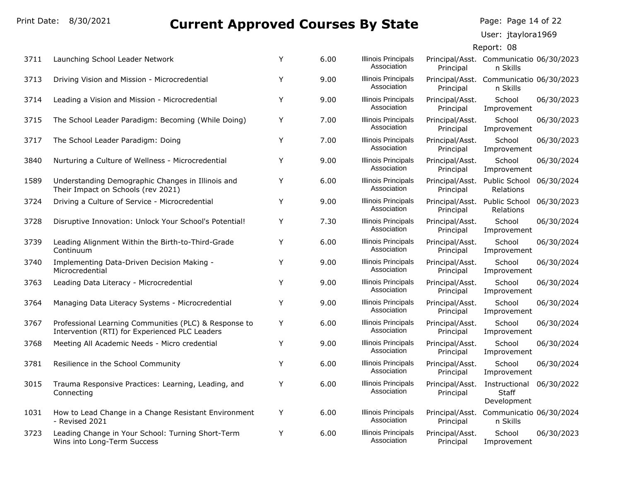Page: Page 14 of 22

User: jtaylora1969

| 3711 | Launching School Leader Network                                                                         | Y | 6.00 | <b>Illinois Principals</b><br>Association | Principal                    | Principal/Asst. Communicatio 06/30/2023<br>n Skills |            |
|------|---------------------------------------------------------------------------------------------------------|---|------|-------------------------------------------|------------------------------|-----------------------------------------------------|------------|
| 3713 | Driving Vision and Mission - Microcredential                                                            | Y | 9.00 | <b>Illinois Principals</b><br>Association | Principal                    | Principal/Asst. Communicatio 06/30/2023<br>n Skills |            |
| 3714 | Leading a Vision and Mission - Microcredential                                                          | Y | 9.00 | <b>Illinois Principals</b><br>Association | Principal/Asst.<br>Principal | School<br>Improvement                               | 06/30/2023 |
| 3715 | The School Leader Paradigm: Becoming (While Doing)                                                      | Y | 7.00 | <b>Illinois Principals</b><br>Association | Principal/Asst.<br>Principal | School<br>Improvement                               | 06/30/2023 |
| 3717 | The School Leader Paradigm: Doing                                                                       | Y | 7.00 | <b>Illinois Principals</b><br>Association | Principal/Asst.<br>Principal | School<br>Improvement                               | 06/30/2023 |
| 3840 | Nurturing a Culture of Wellness - Microcredential                                                       | Y | 9.00 | <b>Illinois Principals</b><br>Association | Principal/Asst.<br>Principal | School<br>Improvement                               | 06/30/2024 |
| 1589 | Understanding Demographic Changes in Illinois and<br>Their Impact on Schools (rev 2021)                 | Y | 6.00 | <b>Illinois Principals</b><br>Association | Principal/Asst.<br>Principal | Public School<br>Relations                          | 06/30/2024 |
| 3724 | Driving a Culture of Service - Microcredential                                                          | Y | 9.00 | <b>Illinois Principals</b><br>Association | Principal/Asst.<br>Principal | Public School<br>Relations                          | 06/30/2023 |
| 3728 | Disruptive Innovation: Unlock Your School's Potential!                                                  | Y | 7.30 | <b>Illinois Principals</b><br>Association | Principal/Asst.<br>Principal | School<br>Improvement                               | 06/30/2024 |
| 3739 | Leading Alignment Within the Birth-to-Third-Grade<br>Continuum                                          | Y | 6.00 | <b>Illinois Principals</b><br>Association | Principal/Asst.<br>Principal | School<br>Improvement                               | 06/30/2024 |
| 3740 | Implementing Data-Driven Decision Making -<br>Microcredential                                           | Υ | 9.00 | <b>Illinois Principals</b><br>Association | Principal/Asst.<br>Principal | School<br>Improvement                               | 06/30/2024 |
| 3763 | Leading Data Literacy - Microcredential                                                                 | Υ | 9.00 | <b>Illinois Principals</b><br>Association | Principal/Asst.<br>Principal | School<br>Improvement                               | 06/30/2024 |
| 3764 | Managing Data Literacy Systems - Microcredential                                                        | Y | 9.00 | <b>Illinois Principals</b><br>Association | Principal/Asst.<br>Principal | School<br>Improvement                               | 06/30/2024 |
| 3767 | Professional Learning Communities (PLC) & Response to<br>Intervention (RTI) for Experienced PLC Leaders | Y | 6.00 | <b>Illinois Principals</b><br>Association | Principal/Asst.<br>Principal | School<br>Improvement                               | 06/30/2024 |
| 3768 | Meeting All Academic Needs - Micro credential                                                           | Y | 9.00 | <b>Illinois Principals</b><br>Association | Principal/Asst.<br>Principal | School<br>Improvement                               | 06/30/2024 |
| 3781 | Resilience in the School Community                                                                      | Y | 6.00 | <b>Illinois Principals</b><br>Association | Principal/Asst.<br>Principal | School<br>Improvement                               | 06/30/2024 |
| 3015 | Trauma Responsive Practices: Learning, Leading, and<br>Connecting                                       | Y | 6.00 | <b>Illinois Principals</b><br>Association | Principal/Asst.<br>Principal | Instructional<br><b>Staff</b><br>Development        | 06/30/2022 |
| 1031 | How to Lead Change in a Change Resistant Environment<br>- Revised 2021                                  | Y | 6.00 | <b>Illinois Principals</b><br>Association | Principal/Asst.<br>Principal | Communicatio 06/30/2024<br>n Skills                 |            |
| 3723 | Leading Change in Your School: Turning Short-Term<br>Wins into Long-Term Success                        | Y | 6.00 | <b>Illinois Principals</b><br>Association | Principal/Asst.<br>Principal | School<br>Improvement                               | 06/30/2023 |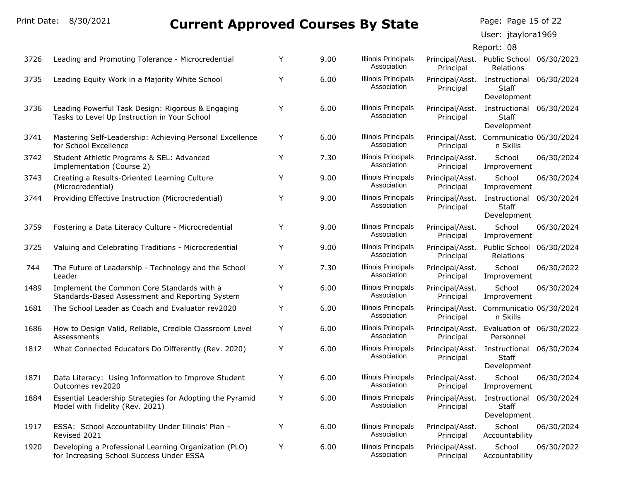Page: Page 15 of 22

User: jtaylora1969

| 3726 | Leading and Promoting Tolerance - Microcredential                                                 | Y | 9.00 | <b>Illinois Principals</b><br>Association | Principal                    | Principal/Asst. Public School 06/30/2023<br>Relations   |            |
|------|---------------------------------------------------------------------------------------------------|---|------|-------------------------------------------|------------------------------|---------------------------------------------------------|------------|
| 3735 | Leading Equity Work in a Majority White School                                                    | Y | 6.00 | <b>Illinois Principals</b><br>Association | Principal/Asst.<br>Principal | Instructional 06/30/2024<br>Staff<br>Development        |            |
| 3736 | Leading Powerful Task Design: Rigorous & Engaging<br>Tasks to Level Up Instruction in Your School | Y | 6.00 | <b>Illinois Principals</b><br>Association | Principal/Asst.<br>Principal | Instructional 06/30/2024<br><b>Staff</b><br>Development |            |
| 3741 | Mastering Self-Leadership: Achieving Personal Excellence<br>for School Excellence                 | Y | 6.00 | <b>Illinois Principals</b><br>Association | Principal/Asst.<br>Principal | Communicatio 06/30/2024<br>n Skills                     |            |
| 3742 | Student Athletic Programs & SEL: Advanced<br>Implementation (Course 2)                            | Y | 7.30 | <b>Illinois Principals</b><br>Association | Principal/Asst.<br>Principal | School<br>Improvement                                   | 06/30/2024 |
| 3743 | Creating a Results-Oriented Learning Culture<br>(Microcredential)                                 | Υ | 9.00 | <b>Illinois Principals</b><br>Association | Principal/Asst.<br>Principal | School<br>Improvement                                   | 06/30/2024 |
| 3744 | Providing Effective Instruction (Microcredential)                                                 | Υ | 9.00 | <b>Illinois Principals</b><br>Association | Principal/Asst.<br>Principal | Instructional<br>Staff<br>Development                   | 06/30/2024 |
| 3759 | Fostering a Data Literacy Culture - Microcredential                                               | Υ | 9.00 | <b>Illinois Principals</b><br>Association | Principal/Asst.<br>Principal | School<br>Improvement                                   | 06/30/2024 |
| 3725 | Valuing and Celebrating Traditions - Microcredential                                              | Y | 9.00 | <b>Illinois Principals</b><br>Association | Principal/Asst.<br>Principal | Public School<br>Relations                              | 06/30/2024 |
| 744  | The Future of Leadership - Technology and the School<br>Leader                                    | Y | 7.30 | <b>Illinois Principals</b><br>Association | Principal/Asst.<br>Principal | School<br>Improvement                                   | 06/30/2022 |
| 1489 | Implement the Common Core Standards with a<br>Standards-Based Assessment and Reporting System     | Y | 6.00 | <b>Illinois Principals</b><br>Association | Principal/Asst.<br>Principal | School<br>Improvement                                   | 06/30/2024 |
| 1681 | The School Leader as Coach and Evaluator rev2020                                                  | Υ | 6.00 | <b>Illinois Principals</b><br>Association | Principal/Asst.<br>Principal | Communicatio 06/30/2024<br>n Skills                     |            |
| 1686 | How to Design Valid, Reliable, Credible Classroom Level<br>Assessments                            | Y | 6.00 | <b>Illinois Principals</b><br>Association | Principal/Asst.<br>Principal | Evaluation of 06/30/2022<br>Personnel                   |            |
| 1812 | What Connected Educators Do Differently (Rev. 2020)                                               | Υ | 6.00 | <b>Illinois Principals</b><br>Association | Principal/Asst.<br>Principal | Instructional<br><b>Staff</b><br>Development            | 06/30/2024 |
| 1871 | Data Literacy: Using Information to Improve Student<br>Outcomes rev2020                           | Y | 6.00 | <b>Illinois Principals</b><br>Association | Principal/Asst.<br>Principal | School<br>Improvement                                   | 06/30/2024 |
| 1884 | Essential Leadership Strategies for Adopting the Pyramid<br>Model with Fidelity (Rev. 2021)       | Y | 6.00 | <b>Illinois Principals</b><br>Association | Principal/Asst.<br>Principal | Instructional<br><b>Staff</b><br>Development            | 06/30/2024 |
| 1917 | ESSA: School Accountability Under Illinois' Plan -<br>Revised 2021                                | Y | 6.00 | <b>Illinois Principals</b><br>Association | Principal/Asst.<br>Principal | School<br>Accountability                                | 06/30/2024 |
| 1920 | Developing a Professional Learning Organization (PLO)<br>for Increasing School Success Under ESSA | Y | 6.00 | <b>Illinois Principals</b><br>Association | Principal/Asst.<br>Principal | School<br>Accountability                                | 06/30/2022 |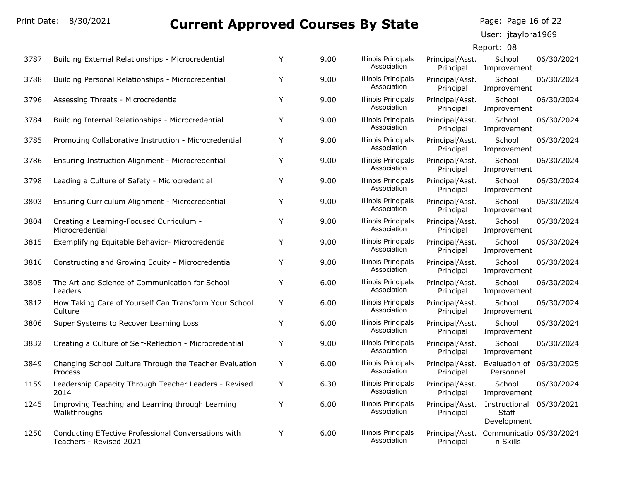Page: Page 16 of 22

User: jtaylora1969

| 3787 | Building External Relationships - Microcredential                               | Y | 9.00 | <b>Illinois Principals</b><br>Association | Principal/Asst.<br>Principal | School<br>Improvement                 | 06/30/2024 |
|------|---------------------------------------------------------------------------------|---|------|-------------------------------------------|------------------------------|---------------------------------------|------------|
| 3788 | Building Personal Relationships - Microcredential                               | Y | 9.00 | <b>Illinois Principals</b><br>Association | Principal/Asst.<br>Principal | School<br>Improvement                 | 06/30/2024 |
| 3796 | Assessing Threats - Microcredential                                             | Y | 9.00 | <b>Illinois Principals</b><br>Association | Principal/Asst.<br>Principal | School<br>Improvement                 | 06/30/2024 |
| 3784 | Building Internal Relationships - Microcredential                               | Y | 9.00 | <b>Illinois Principals</b><br>Association | Principal/Asst.<br>Principal | School<br>Improvement                 | 06/30/2024 |
| 3785 | Promoting Collaborative Instruction - Microcredential                           | Y | 9.00 | <b>Illinois Principals</b><br>Association | Principal/Asst.<br>Principal | School<br>Improvement                 | 06/30/2024 |
| 3786 | Ensuring Instruction Alignment - Microcredential                                | Y | 9.00 | <b>Illinois Principals</b><br>Association | Principal/Asst.<br>Principal | School<br>Improvement                 | 06/30/2024 |
| 3798 | Leading a Culture of Safety - Microcredential                                   | Υ | 9.00 | <b>Illinois Principals</b><br>Association | Principal/Asst.<br>Principal | School<br>Improvement                 | 06/30/2024 |
| 3803 | Ensuring Curriculum Alignment - Microcredential                                 | Y | 9.00 | <b>Illinois Principals</b><br>Association | Principal/Asst.<br>Principal | School<br>Improvement                 | 06/30/2024 |
| 3804 | Creating a Learning-Focused Curriculum -<br>Microcredential                     | Υ | 9.00 | <b>Illinois Principals</b><br>Association | Principal/Asst.<br>Principal | School<br>Improvement                 | 06/30/2024 |
| 3815 | Exemplifying Equitable Behavior- Microcredential                                | Υ | 9.00 | <b>Illinois Principals</b><br>Association | Principal/Asst.<br>Principal | School<br>Improvement                 | 06/30/2024 |
| 3816 | Constructing and Growing Equity - Microcredential                               | Υ | 9.00 | <b>Illinois Principals</b><br>Association | Principal/Asst.<br>Principal | School<br>Improvement                 | 06/30/2024 |
| 3805 | The Art and Science of Communication for School<br>Leaders                      | Y | 6.00 | <b>Illinois Principals</b><br>Association | Principal/Asst.<br>Principal | School<br>Improvement                 | 06/30/2024 |
| 3812 | How Taking Care of Yourself Can Transform Your School<br>Culture                | Y | 6.00 | <b>Illinois Principals</b><br>Association | Principal/Asst.<br>Principal | School<br>Improvement                 | 06/30/2024 |
| 3806 | Super Systems to Recover Learning Loss                                          | Y | 6.00 | <b>Illinois Principals</b><br>Association | Principal/Asst.<br>Principal | School<br>Improvement                 | 06/30/2024 |
| 3832 | Creating a Culture of Self-Reflection - Microcredential                         | Y | 9.00 | <b>Illinois Principals</b><br>Association | Principal/Asst.<br>Principal | School<br>Improvement                 | 06/30/2024 |
| 3849 | Changing School Culture Through the Teacher Evaluation<br>Process               | Y | 6.00 | <b>Illinois Principals</b><br>Association | Principal/Asst.<br>Principal | Evaluation of 06/30/2025<br>Personnel |            |
| 1159 | Leadership Capacity Through Teacher Leaders - Revised<br>2014                   | Y | 6.30 | <b>Illinois Principals</b><br>Association | Principal/Asst.<br>Principal | School<br>Improvement                 | 06/30/2024 |
| 1245 | Improving Teaching and Learning through Learning<br>Walkthroughs                | Y | 6.00 | <b>Illinois Principals</b><br>Association | Principal/Asst.<br>Principal | Instructional<br>Staff<br>Development | 06/30/2021 |
| 1250 | Conducting Effective Professional Conversations with<br>Teachers - Revised 2021 | Y | 6.00 | <b>Illinois Principals</b><br>Association | Principal/Asst.<br>Principal | Communicatio 06/30/2024<br>n Skills   |            |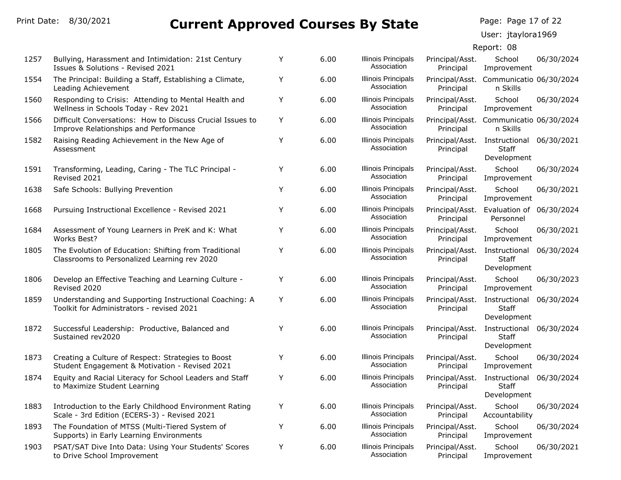Page: Page 17 of 22

User: jtaylora1969

| 1257 | Bullying, Harassment and Intimidation: 21st Century<br>Issues & Solutions - Revised 2021               | Y | 6.00 | <b>Illinois Principals</b><br>Association | Principal/Asst.<br>Principal | School<br>Improvement                               | 06/30/2024 |
|------|--------------------------------------------------------------------------------------------------------|---|------|-------------------------------------------|------------------------------|-----------------------------------------------------|------------|
| 1554 | The Principal: Building a Staff, Establishing a Climate,<br>Leading Achievement                        | Y | 6.00 | <b>Illinois Principals</b><br>Association | Principal                    | Principal/Asst. Communicatio 06/30/2024<br>n Skills |            |
| 1560 | Responding to Crisis: Attending to Mental Health and<br>Wellness in Schools Today - Rev 2021           | Y | 6.00 | <b>Illinois Principals</b><br>Association | Principal/Asst.<br>Principal | School<br>Improvement                               | 06/30/2024 |
| 1566 | Difficult Conversations: How to Discuss Crucial Issues to<br>Improve Relationships and Performance     | Y | 6.00 | <b>Illinois Principals</b><br>Association | Principal                    | Principal/Asst. Communicatio 06/30/2024<br>n Skills |            |
| 1582 | Raising Reading Achievement in the New Age of<br>Assessment                                            | Y | 6.00 | <b>Illinois Principals</b><br>Association | Principal/Asst.<br>Principal | Instructional 06/30/2021<br>Staff<br>Development    |            |
| 1591 | Transforming, Leading, Caring - The TLC Principal -<br>Revised 2021                                    | Y | 6.00 | <b>Illinois Principals</b><br>Association | Principal/Asst.<br>Principal | School<br>Improvement                               | 06/30/2024 |
| 1638 | Safe Schools: Bullying Prevention                                                                      | Y | 6.00 | <b>Illinois Principals</b><br>Association | Principal/Asst.<br>Principal | School<br>Improvement                               | 06/30/2021 |
| 1668 | Pursuing Instructional Excellence - Revised 2021                                                       | Υ | 6.00 | <b>Illinois Principals</b><br>Association | Principal                    | Principal/Asst. Evaluation of<br>Personnel          | 06/30/2024 |
| 1684 | Assessment of Young Learners in PreK and K: What<br>Works Best?                                        | Υ | 6.00 | <b>Illinois Principals</b><br>Association | Principal/Asst.<br>Principal | School<br>Improvement                               | 06/30/2021 |
| 1805 | The Evolution of Education: Shifting from Traditional<br>Classrooms to Personalized Learning rev 2020  | Υ | 6.00 | <b>Illinois Principals</b><br>Association | Principal/Asst.<br>Principal | Instructional<br>Staff<br>Development               | 06/30/2024 |
| 1806 | Develop an Effective Teaching and Learning Culture -<br>Revised 2020                                   | Y | 6.00 | <b>Illinois Principals</b><br>Association | Principal/Asst.<br>Principal | School<br>Improvement                               | 06/30/2023 |
| 1859 | Understanding and Supporting Instructional Coaching: A<br>Toolkit for Administrators - revised 2021    | Y | 6.00 | <b>Illinois Principals</b><br>Association | Principal/Asst.<br>Principal | Instructional 06/30/2024<br>Staff<br>Development    |            |
| 1872 | Successful Leadership: Productive, Balanced and<br>Sustained rev2020                                   | Y | 6.00 | <b>Illinois Principals</b><br>Association | Principal/Asst.<br>Principal | Instructional<br>Staff<br>Development               | 06/30/2024 |
| 1873 | Creating a Culture of Respect: Strategies to Boost<br>Student Engagement & Motivation - Revised 2021   | Y | 6.00 | <b>Illinois Principals</b><br>Association | Principal/Asst.<br>Principal | School<br>Improvement                               | 06/30/2024 |
| 1874 | Equity and Racial Literacy for School Leaders and Staff<br>to Maximize Student Learning                | Y | 6.00 | <b>Illinois Principals</b><br>Association | Principal/Asst.<br>Principal | Instructional<br>Staff<br>Development               | 06/30/2024 |
| 1883 | Introduction to the Early Childhood Environment Rating<br>Scale - 3rd Edition (ECERS-3) - Revised 2021 | Y | 6.00 | <b>Illinois Principals</b><br>Association | Principal/Asst.<br>Principal | School<br>Accountability                            | 06/30/2024 |
| 1893 | The Foundation of MTSS (Multi-Tiered System of<br>Supports) in Early Learning Environments             | Y | 6.00 | Illinois Principals<br>Association        | Principal/Asst.<br>Principal | School<br>Improvement                               | 06/30/2024 |
| 1903 | PSAT/SAT Dive Into Data: Using Your Students' Scores<br>to Drive School Improvement                    | Y | 6.00 | <b>Illinois Principals</b><br>Association | Principal/Asst.<br>Principal | School<br>Improvement                               | 06/30/2021 |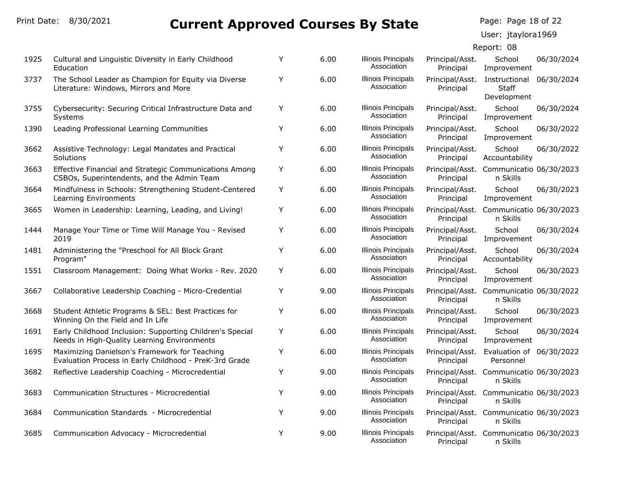Page: Page 18 of 22

User: jtaylora1969

| 1925 | Cultural and Linguistic Diversity in Early Childhood<br>Education                                       | Y | 6.00 | <b>Illinois Principals</b><br>Association | Principal/Asst.<br>Principal | School<br>Improvement                               | 06/30/2024 |
|------|---------------------------------------------------------------------------------------------------------|---|------|-------------------------------------------|------------------------------|-----------------------------------------------------|------------|
| 3737 | The School Leader as Champion for Equity via Diverse<br>Literature: Windows, Mirrors and More           | Y | 6.00 | <b>Illinois Principals</b><br>Association | Principal/Asst.<br>Principal | Instructional<br>Staff<br>Development               | 06/30/2024 |
| 3755 | Cybersecurity: Securing Critical Infrastructure Data and<br>Systems                                     | Y | 6.00 | <b>Illinois Principals</b><br>Association | Principal/Asst.<br>Principal | School<br>Improvement                               | 06/30/2024 |
| 1390 | Leading Professional Learning Communities                                                               | Y | 6.00 | <b>Illinois Principals</b><br>Association | Principal/Asst.<br>Principal | School<br>Improvement                               | 06/30/2022 |
| 3662 | Assistive Technology: Legal Mandates and Practical<br><b>Solutions</b>                                  | Y | 6.00 | <b>Illinois Principals</b><br>Association | Principal/Asst.<br>Principal | School<br>Accountability                            | 06/30/2022 |
| 3663 | Effective Financial and Strategic Communications Among<br>CSBOs, Superintendents, and the Admin Team    | Υ | 6.00 | <b>Illinois Principals</b><br>Association | Principal/Asst.<br>Principal | Communicatio 06/30/2023<br>n Skills                 |            |
| 3664 | Mindfulness in Schools: Strengthening Student-Centered<br>Learning Environments                         | Y | 6.00 | <b>Illinois Principals</b><br>Association | Principal/Asst.<br>Principal | School<br>Improvement                               | 06/30/2023 |
| 3665 | Women in Leadership: Learning, Leading, and Living!                                                     | Y | 6.00 | <b>Illinois Principals</b><br>Association | Principal/Asst.<br>Principal | Communicatio 06/30/2023<br>n Skills                 |            |
| 1444 | Manage Your Time or Time Will Manage You - Revised<br>2019                                              | Υ | 6.00 | <b>Illinois Principals</b><br>Association | Principal/Asst.<br>Principal | School<br>Improvement                               | 06/30/2024 |
| 1481 | Administering the "Preschool for All Block Grant<br>Program"                                            | Υ | 6.00 | <b>Illinois Principals</b><br>Association | Principal/Asst.<br>Principal | School<br>Accountability                            | 06/30/2024 |
| 1551 | Classroom Management: Doing What Works - Rev. 2020                                                      | Υ | 6.00 | <b>Illinois Principals</b><br>Association | Principal/Asst.<br>Principal | School<br>Improvement                               | 06/30/2023 |
| 3667 | Collaborative Leadership Coaching - Micro-Credential                                                    | Y | 9.00 | <b>Illinois Principals</b><br>Association | Principal/Asst.<br>Principal | Communicatio 06/30/2022<br>n Skills                 |            |
| 3668 | Student Athletic Programs & SEL: Best Practices for<br>Winning On the Field and In Life                 | Y | 6.00 | <b>Illinois Principals</b><br>Association | Principal/Asst.<br>Principal | School<br>Improvement                               | 06/30/2023 |
| 1691 | Early Childhood Inclusion: Supporting Children's Special<br>Needs in High-Quality Learning Environments | Υ | 6.00 | <b>Illinois Principals</b><br>Association | Principal/Asst.<br>Principal | School<br>Improvement                               | 06/30/2024 |
| 1695 | Maximizing Danielson's Framework for Teaching<br>Evaluation Process in Early Childhood - PreK-3rd Grade | Υ | 6.00 | <b>Illinois Principals</b><br>Association | Principal/Asst.<br>Principal | Evaluation of 06/30/2022<br>Personnel               |            |
| 3682 | Reflective Leadership Coaching - Microcredential                                                        | Y | 9.00 | <b>Illinois Principals</b><br>Association | Principal                    | Principal/Asst. Communicatio 06/30/2023<br>n Skills |            |
| 3683 | Communication Structures - Microcredential                                                              | Y | 9.00 | <b>Illinois Principals</b><br>Association | Principal                    | Principal/Asst. Communicatio 06/30/2023<br>n Skills |            |
| 3684 | Communication Standards - Microcredential                                                               | Y | 9.00 | <b>Illinois Principals</b><br>Association | Principal                    | Principal/Asst. Communicatio 06/30/2023<br>n Skills |            |
| 3685 | Communication Advocacy - Microcredential                                                                | Y | 9.00 | <b>Illinois Principals</b><br>Association | Principal/Asst.<br>Principal | Communicatio 06/30/2023<br>n Skills                 |            |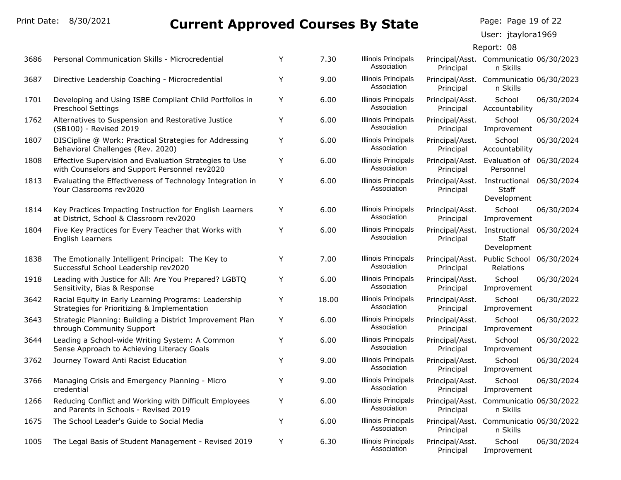Page: Page 19 of 22

User: jtaylora1969

| 3686 | Personal Communication Skills - Microcredential                                                         | Y | 7.30  | <b>Illinois Principals</b><br>Association | Principal                    | Principal/Asst. Communicatio 06/30/2023<br>n Skills |            |
|------|---------------------------------------------------------------------------------------------------------|---|-------|-------------------------------------------|------------------------------|-----------------------------------------------------|------------|
| 3687 | Directive Leadership Coaching - Microcredential                                                         | Y | 9.00  | <b>Illinois Principals</b><br>Association | Principal                    | Principal/Asst. Communicatio 06/30/2023<br>n Skills |            |
| 1701 | Developing and Using ISBE Compliant Child Portfolios in<br><b>Preschool Settings</b>                    | Y | 6.00  | <b>Illinois Principals</b><br>Association | Principal/Asst.<br>Principal | School<br>Accountability                            | 06/30/2024 |
| 1762 | Alternatives to Suspension and Restorative Justice<br>(SB100) - Revised 2019                            | Y | 6.00  | <b>Illinois Principals</b><br>Association | Principal/Asst.<br>Principal | School<br>Improvement                               | 06/30/2024 |
| 1807 | DISCipline @ Work: Practical Strategies for Addressing<br>Behavioral Challenges (Rev. 2020)             | Y | 6.00  | <b>Illinois Principals</b><br>Association | Principal/Asst.<br>Principal | School<br>Accountability                            | 06/30/2024 |
| 1808 | Effective Supervision and Evaluation Strategies to Use<br>with Counselors and Support Personnel rev2020 | Υ | 6.00  | <b>Illinois Principals</b><br>Association | Principal/Asst.<br>Principal | Evaluation of 06/30/2024<br>Personnel               |            |
| 1813 | Evaluating the Effectiveness of Technology Integration in<br>Your Classrooms rev2020                    | Y | 6.00  | <b>Illinois Principals</b><br>Association | Principal/Asst.<br>Principal | Instructional<br><b>Staff</b><br>Development        | 06/30/2024 |
| 1814 | Key Practices Impacting Instruction for English Learners<br>at District, School & Classroom rev2020     | Υ | 6.00  | <b>Illinois Principals</b><br>Association | Principal/Asst.<br>Principal | School<br>Improvement                               | 06/30/2024 |
| 1804 | Five Key Practices for Every Teacher that Works with<br>English Learners                                | Y | 6.00  | <b>Illinois Principals</b><br>Association | Principal/Asst.<br>Principal | Instructional<br>Staff<br>Development               | 06/30/2024 |
| 1838 | The Emotionally Intelligent Principal: The Key to<br>Successful School Leadership rev2020               | Y | 7.00  | Illinois Principals<br>Association        | Principal/Asst.<br>Principal | Public School<br>Relations                          | 06/30/2024 |
| 1918 | Leading with Justice for All: Are You Prepared? LGBTQ<br>Sensitivity, Bias & Response                   | Y | 6.00  | <b>Illinois Principals</b><br>Association | Principal/Asst.<br>Principal | School<br>Improvement                               | 06/30/2024 |
| 3642 | Racial Equity in Early Learning Programs: Leadership<br>Strategies for Prioritizing & Implementation    | Y | 18.00 | <b>Illinois Principals</b><br>Association | Principal/Asst.<br>Principal | School<br>Improvement                               | 06/30/2022 |
| 3643 | Strategic Planning: Building a District Improvement Plan<br>through Community Support                   | Y | 6.00  | <b>Illinois Principals</b><br>Association | Principal/Asst.<br>Principal | School<br>Improvement                               | 06/30/2022 |
| 3644 | Leading a School-wide Writing System: A Common<br>Sense Approach to Achieving Literacy Goals            | Υ | 6.00  | <b>Illinois Principals</b><br>Association | Principal/Asst.<br>Principal | School<br>Improvement                               | 06/30/2022 |
| 3762 | Journey Toward Anti Racist Education                                                                    | Υ | 9.00  | <b>Illinois Principals</b><br>Association | Principal/Asst.<br>Principal | School<br>Improvement                               | 06/30/2024 |
| 3766 | Managing Crisis and Emergency Planning - Micro<br>credential                                            | Y | 9.00  | <b>Illinois Principals</b><br>Association | Principal/Asst.<br>Principal | School<br>Improvement                               | 06/30/2024 |
| 1266 | Reducing Conflict and Working with Difficult Employees<br>and Parents in Schools - Revised 2019         | Y | 6.00  | <b>Illinois Principals</b><br>Association | Principal/Asst.<br>Principal | Communicatio 06/30/2022<br>n Skills                 |            |
| 1675 | The School Leader's Guide to Social Media                                                               | Y | 6.00  | <b>Illinois Principals</b><br>Association | Principal                    | Principal/Asst. Communicatio 06/30/2022<br>n Skills |            |
| 1005 | The Legal Basis of Student Management - Revised 2019                                                    | Y | 6.30  | <b>Illinois Principals</b><br>Association | Principal/Asst.<br>Principal | School<br>Improvement                               | 06/30/2024 |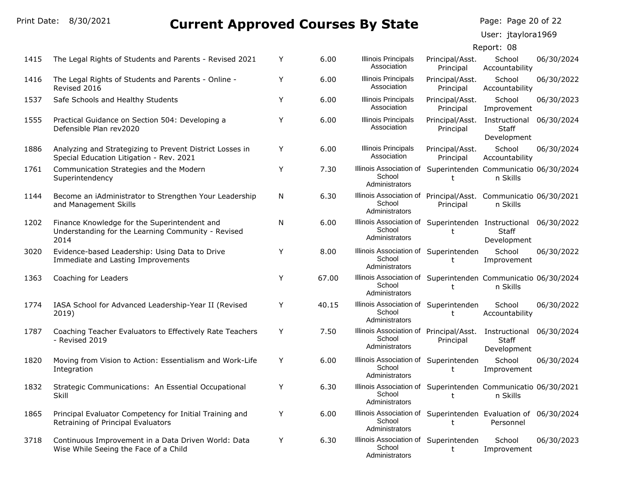Page: Page 20 of 22

User: jtaylora1969

| 1415 | The Legal Rights of Students and Parents - Revised 2021                                                    | Y | 6.00  | <b>Illinois Principals</b><br>Association                                                   | Principal/Asst.<br>Principal | School<br>Accountability                                | 06/30/2024 |
|------|------------------------------------------------------------------------------------------------------------|---|-------|---------------------------------------------------------------------------------------------|------------------------------|---------------------------------------------------------|------------|
| 1416 | The Legal Rights of Students and Parents - Online -<br>Revised 2016                                        | Y | 6.00  | <b>Illinois Principals</b><br>Association                                                   | Principal/Asst.<br>Principal | School<br>Accountability                                | 06/30/2022 |
| 1537 | Safe Schools and Healthy Students                                                                          | Y | 6.00  | <b>Illinois Principals</b><br>Association                                                   | Principal/Asst.<br>Principal | School<br>Improvement                                   | 06/30/2023 |
| 1555 | Practical Guidance on Section 504: Developing a<br>Defensible Plan rev2020                                 | Y | 6.00  | <b>Illinois Principals</b><br>Association                                                   | Principal/Asst.<br>Principal | Instructional<br>Staff<br>Development                   | 06/30/2024 |
| 1886 | Analyzing and Strategizing to Prevent District Losses in<br>Special Education Litigation - Rev. 2021       | Y | 6.00  | <b>Illinois Principals</b><br>Association                                                   | Principal/Asst.<br>Principal | School<br>Accountability                                | 06/30/2024 |
| 1761 | Communication Strategies and the Modern<br>Superintendency                                                 | Y | 7.30  | Illinois Association of Superintenden Communicatio 06/30/2024<br>School<br>Administrators   | t                            | n Skills                                                |            |
| 1144 | Become an iAdministrator to Strengthen Your Leadership<br>and Management Skills                            | N | 6.30  | Illinois Association of Principal/Asst. Communicatio 06/30/2021<br>School<br>Administrators | Principal                    | n Skills                                                |            |
| 1202 | Finance Knowledge for the Superintendent and<br>Understanding for the Learning Community - Revised<br>2014 | N | 6.00  | Illinois Association of Superintenden Instructional 06/30/2022<br>School<br>Administrators  | t                            | <b>Staff</b><br>Development                             |            |
| 3020 | Evidence-based Leadership: Using Data to Drive<br>Immediate and Lasting Improvements                       | Y | 8.00  | Illinois Association of Superintenden<br>School<br>Administrators                           | t                            | School<br>Improvement                                   | 06/30/2022 |
| 1363 | Coaching for Leaders                                                                                       | Y | 67.00 | Illinois Association of Superintenden Communicatio 06/30/2024<br>School<br>Administrators   | t                            | n Skills                                                |            |
| 1774 | IASA School for Advanced Leadership-Year II (Revised<br>2019)                                              | Y | 40.15 | Illinois Association of Superintenden<br>School<br>Administrators                           | t                            | School<br>Accountability                                | 06/30/2022 |
| 1787 | Coaching Teacher Evaluators to Effectively Rate Teachers<br>- Revised 2019                                 | Υ | 7.50  | Illinois Association of Principal/Asst.<br>School<br>Administrators                         | Principal                    | Instructional 06/30/2024<br><b>Staff</b><br>Development |            |
| 1820 | Moving from Vision to Action: Essentialism and Work-Life<br>Integration                                    | Y | 6.00  | Illinois Association of Superintenden<br>School<br>Administrators                           | t                            | School<br>Improvement                                   | 06/30/2024 |
| 1832 | Strategic Communications: An Essential Occupational<br>Skill                                               | Y | 6.30  | Illinois Association of Superintenden Communicatio 06/30/2021<br>School<br>Administrators   | t                            | n Skills                                                |            |
| 1865 | Principal Evaluator Competency for Initial Training and<br>Retraining of Principal Evaluators              | Y | 6.00  | Illinois Association of Superintenden Evaluation of 06/30/2024<br>School<br>Administrators  | t                            | Personnel                                               |            |
| 3718 | Continuous Improvement in a Data Driven World: Data<br>Wise While Seeing the Face of a Child               | Y | 6.30  | Illinois Association of Superintenden<br>School<br>Administrators                           | t                            | School<br>Improvement                                   | 06/30/2023 |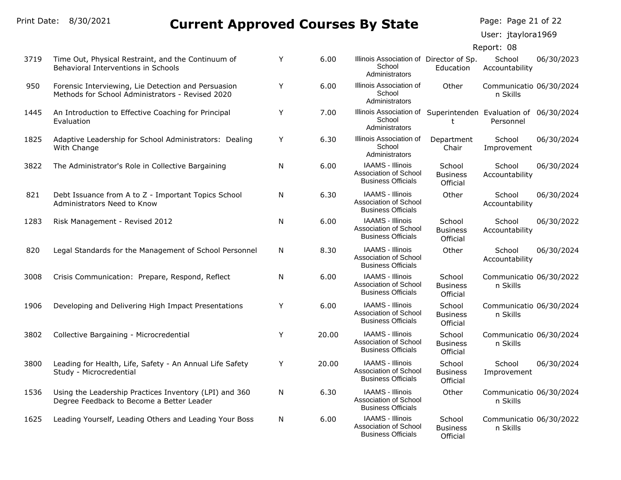| Print Date: | 8/30/2021 |  |
|-------------|-----------|--|
|             |           |  |

User: jtaylora1969

| 3719 | Time Out, Physical Restraint, and the Continuum of<br>Behavioral Interventions in Schools               | Y | 6.00  | Illinois Association of Director of Sp.<br>School<br>Administrators                        | Education                             | School<br>Accountability            | 06/30/2023 |
|------|---------------------------------------------------------------------------------------------------------|---|-------|--------------------------------------------------------------------------------------------|---------------------------------------|-------------------------------------|------------|
| 950  | Forensic Interviewing, Lie Detection and Persuasion<br>Methods for School Administrators - Revised 2020 | Y | 6.00  | Illinois Association of<br>School<br>Administrators                                        | Other                                 | Communicatio 06/30/2024<br>n Skills |            |
| 1445 | An Introduction to Effective Coaching for Principal<br>Evaluation                                       | Y | 7.00  | Illinois Association of Superintenden Evaluation of 06/30/2024<br>School<br>Administrators | t.                                    | Personnel                           |            |
| 1825 | Adaptive Leadership for School Administrators: Dealing<br>With Change                                   | Υ | 6.30  | Illinois Association of<br>School<br>Administrators                                        | Department<br>Chair                   | School<br>Improvement               | 06/30/2024 |
| 3822 | The Administrator's Role in Collective Bargaining                                                       | N | 6.00  | <b>IAAMS - Illinois</b><br>Association of School<br><b>Business Officials</b>              | School<br><b>Business</b><br>Official | School<br>Accountability            | 06/30/2024 |
| 821  | Debt Issuance from A to Z - Important Topics School<br>Administrators Need to Know                      | N | 6.30  | <b>IAAMS - Illinois</b><br>Association of School<br><b>Business Officials</b>              | Other                                 | School<br>Accountability            | 06/30/2024 |
| 1283 | Risk Management - Revised 2012                                                                          | N | 6.00  | <b>IAAMS - Illinois</b><br>Association of School<br><b>Business Officials</b>              | School<br><b>Business</b><br>Official | School<br>Accountability            | 06/30/2022 |
| 820  | Legal Standards for the Management of School Personnel                                                  | N | 8.30  | <b>IAAMS - Illinois</b><br>Association of School<br><b>Business Officials</b>              | Other                                 | School<br>Accountability            | 06/30/2024 |
| 3008 | Crisis Communication: Prepare, Respond, Reflect                                                         | N | 6.00  | <b>IAAMS - Illinois</b><br>Association of School<br><b>Business Officials</b>              | School<br><b>Business</b><br>Official | Communicatio 06/30/2022<br>n Skills |            |
| 1906 | Developing and Delivering High Impact Presentations                                                     | Y | 6.00  | <b>IAAMS - Illinois</b><br>Association of School<br><b>Business Officials</b>              | School<br><b>Business</b><br>Official | Communicatio 06/30/2024<br>n Skills |            |
| 3802 | Collective Bargaining - Microcredential                                                                 | Υ | 20.00 | <b>IAAMS - Illinois</b><br>Association of School<br><b>Business Officials</b>              | School<br><b>Business</b><br>Official | Communicatio 06/30/2024<br>n Skills |            |
| 3800 | Leading for Health, Life, Safety - An Annual Life Safety<br>Study - Microcredential                     | Υ | 20.00 | <b>IAAMS - Illinois</b><br>Association of School<br><b>Business Officials</b>              | School<br>Business<br>Official        | School<br>Improvement               | 06/30/2024 |
| 1536 | Using the Leadership Practices Inventory (LPI) and 360<br>Degree Feedback to Become a Better Leader     | N | 6.30  | <b>IAAMS - Illinois</b><br>Association of School<br><b>Business Officials</b>              | Other                                 | Communicatio 06/30/2024<br>n Skills |            |
| 1625 | Leading Yourself, Leading Others and Leading Your Boss                                                  | N | 6.00  | <b>IAAMS - Illinois</b><br>Association of School<br><b>Business Officials</b>              | School<br>Business<br>Official        | Communicatio 06/30/2022<br>n Skills |            |